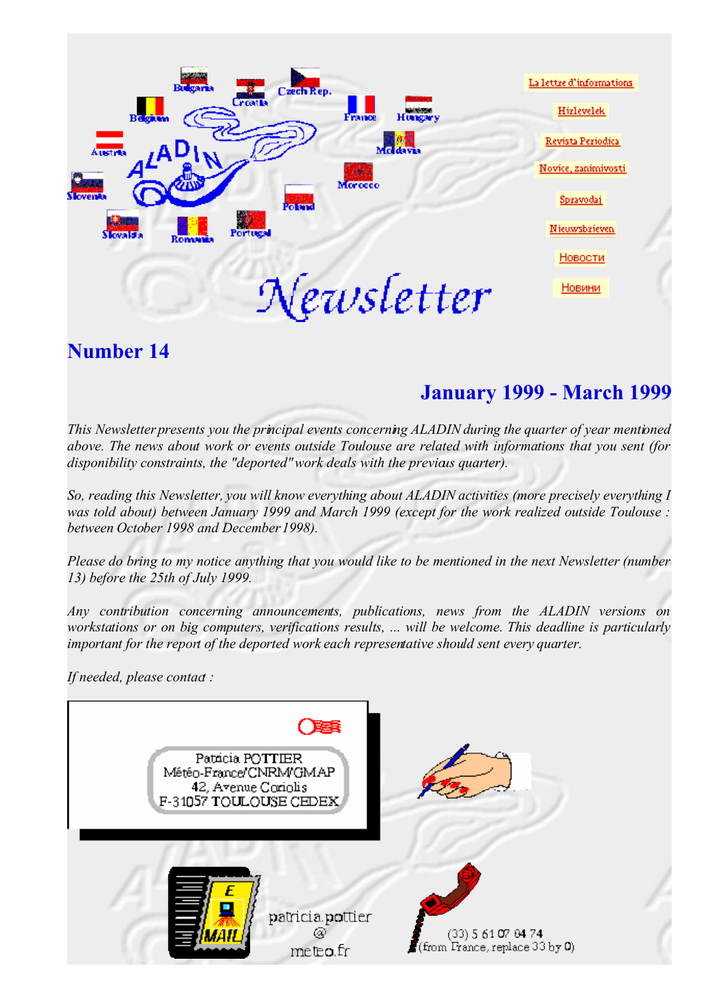

## **Number 14**

# **January 1999 - March 1999**

*This Newsletter presents you the principal events concerning ALADIN during the quarter of year mentioned above. The news about work or events outside Toulouse are related with informations that you sent (for* disponibility constraints, the "deported" work deals with the previals quarter).

*So, reading this Newsletter, you will know everything about ALADIN activities (more precisely everything I was told about) between January 1999 and March 1999 (except for the work realized outside Toulouse : between October 1998 and December 1998).*

Please do bring to my notice anything that you would like to be mentioned in the next Newsletter (number *13) before the 25th of July 1999.* 

*Any contribution concerning announcements, publications, news from the ALADIN versions on workstations or on big computers, verifications results, ... will be welcome. This deadline is particularly important for the report of the deported work each representative should sent every quarter.*

If needed, please contad :

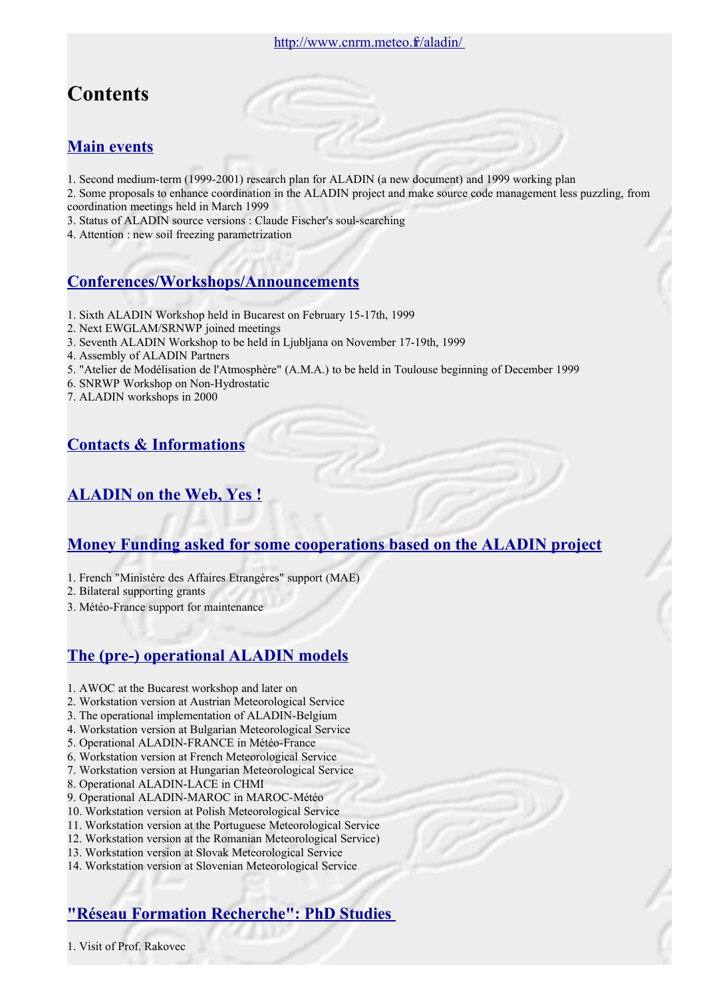# **Contents**

## **[Main events](file:///var/www/html/aladin/newsletters/news14/ME.html)**

- 1. Second medium-term (1999-2001) research plan for ALADIN (a new document) and 1999 working plan
- 2. Some proposals to enhance coordination in the ALADIN project and make source code management less puzzling, from coordination meetings held in March 1999
- 3. Status of ALADIN source versions : Claude Fischer's soul-searching
- 4. Attention : new soil freezing parametrization

## **[Conferences/Workshops/Announcements](file:///var/www/html/aladin/newsletters/news14/CWA.html)**

- 1. Sixth ALADIN Workshop held in Bucarest on February 15-17th, 1999
- 2. Next EWGLAM/SRNWP joined meetings
- 3. Seventh ALADIN Workshop to be held in Ljubljana on November 17-19th, 1999
- 4. Assembly of ALADIN Partners
- 5. "Atelier de Modélisation de l'Atmosphère" (A.M.A.) to be held in Toulouse beginning of December 1999
- 6. SNRWP Workshop on Non-Hydrostatic
- 7. ALADIN workshops in 2000

## **[Contacts & Informations](file:///var/www/html/aladin/newsletters/news14/CI.html)**

## **[ALADIN on the Web, Yes !](file:///var/www/html/aladin/newsletters/news14/WWW.html)**

## **[Money Funding asked for some cooperations based on the ALADIN project](file:///var/www/html/aladin/newsletters/news14/MO.html)**

- 1. French "Ministère des Affaires Etrangères" support (MAE)
- 2. Bilateral supporting grants
- 3. Météo-France support for maintenance

## **[The \(pre-\) operational ALADIN models](file:///var/www/html/aladin/newsletters/news14/OP.html)**

- 1. AWOC at the Bucarest workshop and later on
- 2. Workstation version at Austrian Meteorological Service
- 3. The operational implementation of ALADIN-Belgium
- 4. Workstation version at Bulgarian Meteorological Service
- 5. Operational ALADIN-FRANCE in Météo-France
- 6. Workstation version at French Meteorological Service
- 7. Workstation version at Hungarian Meteorological Service
- 8. Operational ALADIN-LACE in CHMI
- 9. Operational ALADIN-MAROC in MAROC-Météo
- 10. Workstation version at Polish Meteorological Service
- 11. Workstation version at the Portuguese Meteorological Service
- 12. Workstation version at the Romanian Meteorological Service)
- 13. Workstation version at Slovak Meteorological Service
- 14. Workstation version at Slovenian Meteorological Service

## **["Réseau Formation Recherche": PhD Studies](file:///var/www/html/aladin/newsletters/news14/RFR.html)**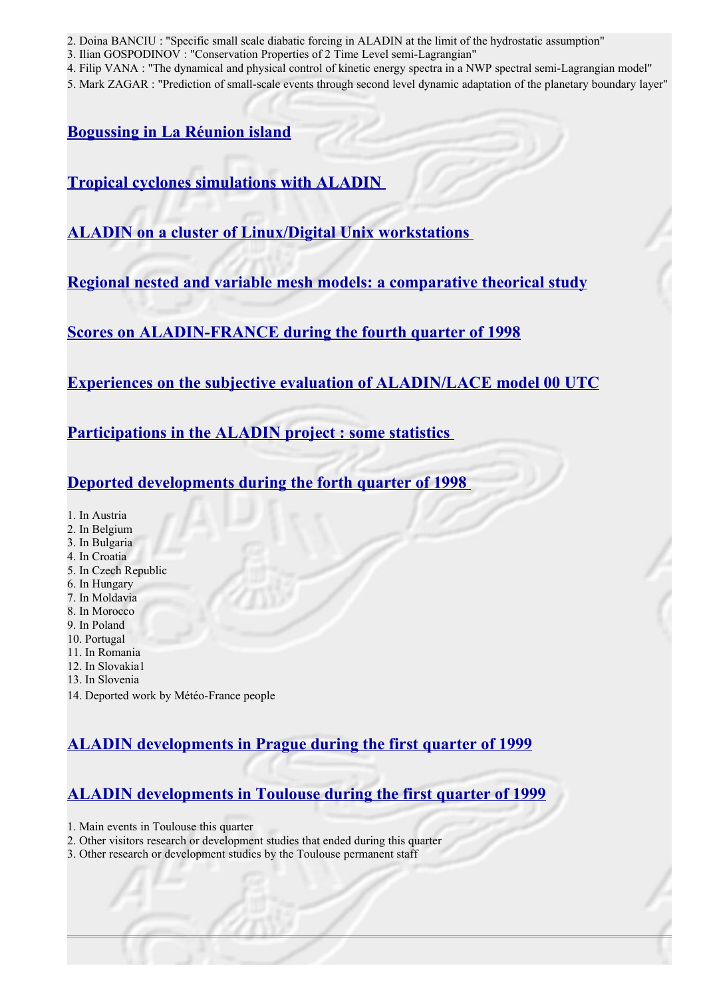- 2. Doina BANCIU : "Specific small scale diabatic forcing in ALADIN at the limit of the hydrostatic assumption"
- 3. Ilian GOSPODINOV : "Conservation Properties of 2 Time Level semi-Lagrangian"
- 4. Filip VANA : "The dynamical and physical control of kinetic energy spectra in a NWP spectral semi-Lagrangian model"
- 5. Mark ZAGAR : "Prediction of small-scale events through second level dynamic adaptation of the planetary boundary layer"

## **[Bogussing in La Réunion island](file:///var/www/html/aladin/newsletters/news14/soulan.html)**

**[Tropical cyclones simulations with ALADIN](file:///var/www/html/aladin/newsletters/news14/bouteloup.html)**

**[ALADIN on a cluster of Linux/Digital Unix workstations](file:///var/www/html/aladin/newsletters/news14/jerman.html)** 

**[Regional nested and variable mesh models: a comparative theorical study](file:///var/www/html/aladin/newsletters/news14/chome.html)**

**[Scores on ALADIN-FRANCE during the fourth quarter of 1998](file:///var/www/html/aladin/newsletters/news14/COM.html)**

**[Experiences on the subjective evaluation of ALADIN/LACE model 00 UTC](file:///var/www/html/aladin/newsletters/news14/scoresHU.html)**

**[Participations in the ALADIN project : some statistics](file:///var/www/html/aladin/newsletters/news14/STAT.html)** 

**[Deported developments during the forth quarter of 1998](file:///var/www/html/aladin/newsletters/news14/DEP.html)** 

- 1. In Austria
- 2. In Belgium
- 3. In Bulgaria
- 4. In Croatia
- 5. In Czech Republic
- 6. In Hungary
- 7. In Moldavia 8. In Morocco
- 9. In Poland
- 10. Portugal
- 11. In Romania
- 12. In Slovakia1
- 13. In Slovenia
- 14. Deported work by Météo-France people

## **[ALADIN developments in Prague during the first quarter of 1999](file:///var/www/html/aladin/newsletters/news14/PRAGUE.html)**

## **[ALADIN developments in Toulouse during the first quarter of 1999](file:///var/www/html/aladin/newsletters/news14/TLSE.html)**

- 1. Main events in Toulouse this quarter
- 2. Other visitors research or development studies that ended during this quarter
- 3. Other research or development studies by the Toulouse permanent staff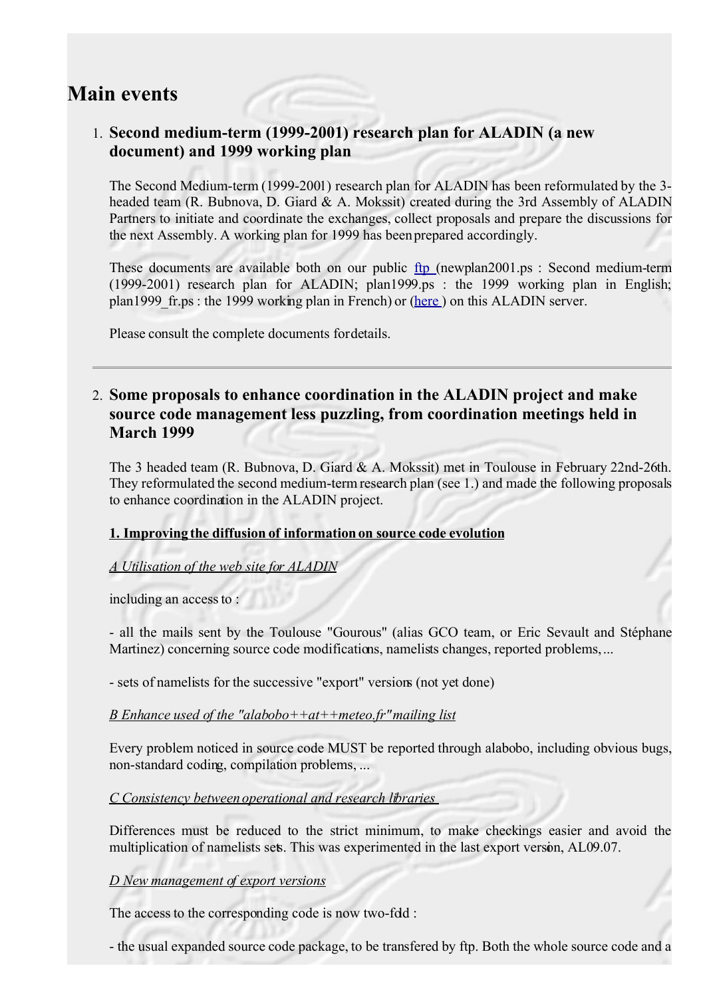## **Main events**

## 1. **Second medium-term (1999-2001) research plan for ALADIN (a new document) and 1999 working plan**

The Second Medium-term (1999-2001) research plan for ALADIN has been reformulated by the 3 headed team (R. Bubnova, D. Giard & A. Mokssit) created during the 3rd Assembly of ALADIN Partners to initiate and coordinate the exchanges, collect proposals and prepare the discussions for the next Assembly. A working plan for 1999 has been prepared accordingly.

These documents are available both on our public [ftp](ftp://cnrm-ftp.meteo.fr/pub-aladin/) (newplan2001.ps : Second medium-term (1999-2001) research plan for ALADIN; plan1999.ps : the 1999 working plan in English; plan1999 fr.ps : the 1999 working plan in French) or [\(here](file:///var/www/html/aladin/scientific/planscientif.html) ) on this ALADIN server.

Please consult the complete documents for details.

### 2. **Some proposals to enhance coordination in the ALADIN project and make source code management less puzzling, from coordination meetings held in March 1999**

The 3 headed team (R. Bubnova, D. Giard & A. Mokssit) met in Toulouse in February 22nd-26th. They reformulated the second medium-termresearch plan (see 1.) and made the following proposals to enhance coordination in the ALADIN project.

#### **1. Improving the diffusion of information on source code evolution**

#### *A Utilisation of the web site for ALADIN*

including an access to :

- all the mails sent by the Toulouse "Gourous" (alias GCO team, or Eric Sevault and Stéphane Martinez) concerning source code modifications, namelists changes, reported problems,...

- sets of namelists for the successive "export" versions (not yet done)

#### *B Enhance used of the "alabobo++at++meteo.fr" mailing list*

Every problem noticed in source code MUST be reported through alabobo, including obvious bugs, non-standard coding, compilation problems, ...

*C Consistency between operational and research libraries* 

Differences must be reduced to the strict minimum, to make checkings easier and avoid the multiplication of namelists sets. This was experimented in the last export version, AL09.07.

*D New management of export versions*

The access to the corresponding code is now two-fdd :

- the usual expanded source code package, to be transfered by ftp. Both the whole source code and a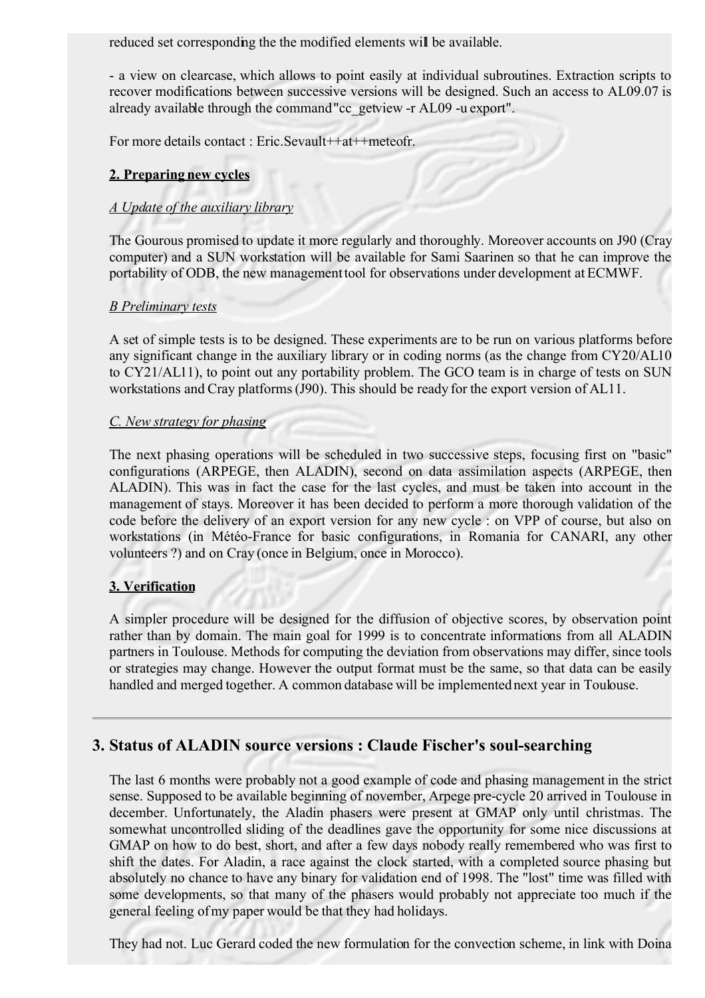reduced set corresponding the the modified elements will be available.

- a view on clearcase, which allows to point easily at individual subroutines. Extraction scripts to recover modifications between successive versions will be designed. Such an access to AL09.07 is already available through the command"cc\_getview -r AL09 -u export".

For more details contact : Eric.Sevault++at++meteofr.

#### **2. Preparing new cycles**

#### *A Update of the auxiliary library*

The Gourous promised to update it more regularly and thoroughly. Moreover accounts on J90 (Cray computer) and a SUN workstation will be available for Sami Saarinen so that he can improve the portability of ODB, the new management tool for observations under development at ECMWF.

#### *B Preliminary tests*

A set of simple tests is to be designed. These experiments are to be run on various platforms before any significant change in the auxiliary library or in coding norms (as the change from CY20/AL10 to CY21/AL11), to point out any portability problem. The GCO team is in charge of tests on SUN workstations and Cray platforms (J90). This should be ready for the export version of AL11.

#### *C. New strategy for phasing*

The next phasing operations will be scheduled in two successive steps, focusing first on "basic" configurations (ARPEGE, then ALADIN), second on data assimilation aspects (ARPEGE, then ALADIN). This was in fact the case for the last cycles, and must be taken into account in the management of stays. Moreover it has been decided to perform a more thorough validation of the code before the delivery of an export version for any new cycle : on VPP of course, but also on workstations (in Météo-France for basic configurations, in Romania for CANARI, any other volunteers ?) and on Cray (once in Belgium, once in Morocco).

#### **3. Verification**

A simpler procedure will be designed for the diffusion of objective scores, by observation point rather than by domain. The main goal for 1999 is to concentrate informations from all ALADIN partners in Toulouse. Methods for computing the deviation from observations may differ, since tools or strategies may change. However the output format must be the same, so that data can be easily handled and merged together. A common database will be implemented next year in Toulouse.

#### **3. Status of ALADIN source versions : Claude Fischer's soul-searching**

The last 6 months were probably not a good example of code and phasing management in the strict sense. Supposed to be available beginning of november, Arpege pre-cycle 20 arrived in Toulouse in december. Unfortunately, the Aladin phasers were present at GMAP only until christmas. The somewhat uncontrolled sliding of the deadlines gave the opportunity for some nice discussions at GMAP on how to do best, short, and after a few days nobody really remembered who was first to shift the dates. For Aladin, a race against the clock started, with a completed source phasing but absolutely no chance to have any binary for validation end of 1998. The "lost" time was filled with some developments, so that many of the phasers would probably not appreciate too much if the general feeling of my paper would be that they had holidays.

They had not. Luc Gerard coded the new formulation for the convection scheme, in link with Doina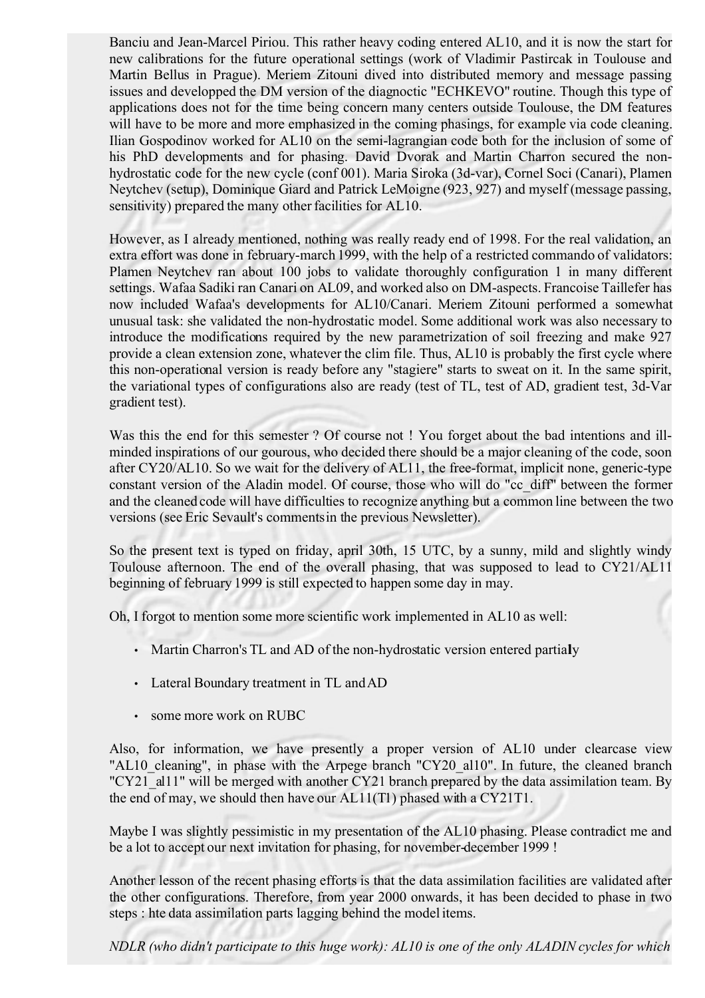Banciu and Jean-Marcel Piriou. This rather heavy coding entered AL10, and it is now the start for new calibrations for the future operational settings (work of Vladimir Pastircak in Toulouse and Martin Bellus in Prague). Meriem Zitouni dived into distributed memory and message passing issues and developped the DM version of the diagnoctic "ECHKEVO" routine. Though this type of applications does not for the time being concern many centers outside Toulouse, the DM features will have to be more and more emphasized in the coming phasings, for example via code cleaning. Ilian Gospodinov worked for AL10 on the semi-lagrangian code both for the inclusion of some of his PhD developments and for phasing. David Dvorak and Martin Charron secured the nonhydrostatic code for the new cycle (conf 001). Maria Siroka (3d-var), Cornel Soci (Canari), Plamen Neytchev (setup), Dominique Giard and Patrick LeMoigne (923, 927) and myself (message passing, sensitivity) prepared the many other facilities for AL10.

However, as I already mentioned, nothing was really ready end of 1998. For the real validation, an extra effort was done in february-march 1999, with the help of a restricted commando of validators: Plamen Neytchev ran about 100 jobs to validate thoroughly configuration 1 in many different settings. Wafaa Sadiki ran Canari on AL09, and worked also on DM-aspects. Francoise Taillefer has now included Wafaa's developments for AL10/Canari. Meriem Zitouni performed a somewhat unusual task: she validated the non-hydrostatic model. Some additional work was also necessary to introduce the modifications required by the new parametrization of soil freezing and make 927 provide a clean extension zone, whatever the clim file. Thus, AL10 is probably the first cycle where this non-operational version is ready before any "stagiere" starts to sweat on it. In the same spirit, the variational types of configurations also are ready (test of TL, test of AD, gradient test, 3d-Var gradient test).

Was this the end for this semester ? Of course not ! You forget about the bad intentions and illminded inspirations of our gourous, who decided there should be a major cleaning of the code, soon after CY20/AL10. So we wait for the delivery of AL11, the free-format, implicit none, generic-type constant version of the Aladin model. Of course, those who will do "cc\_diff" between the former and the cleaned code will have difficulties to recognize anything but a common line between the two versions (see Eric Sevault's comments in the previous Newsletter).

So the present text is typed on friday, april 30th, 15 UTC, by a sunny, mild and slightly windy Toulouse afternoon. The end of the overall phasing, that was supposed to lead to CY21/AL11 beginning of february 1999 is still expected to happen some day in may.

Oh, I forgot to mention some more scientific work implemented in AL10 as well:

- Martin Charron's TL and AD of the non-hydrostatic version entered partialy
- Lateral Boundary treatment in TL and AD
- some more work on RUBC

Also, for information, we have presently a proper version of AL10 under clearcase view "AL10 cleaning", in phase with the Arpege branch "CY20 al10". In future, the cleaned branch "CY21 al11" will be merged with another CY21 branch prepared by the data assimilation team. By the end of may, we should then have our AL11(T1) phased with a CY21T1.

Maybe I was slightly pessimistic in my presentation of the AL10 phasing. Please contradict me and be a lot to accept our next invitation for phasing, for november-december 1999 !

Another lesson of the recent phasing efforts is that the data assimilation facilities are validated after the other configurations. Therefore, from year 2000 onwards, it has been decided to phase in two steps : hte data assimilation parts lagging behind the model items.

*NDLR (who didn't participate to this huge work): AL10 is one of the only ALADIN cycles for which*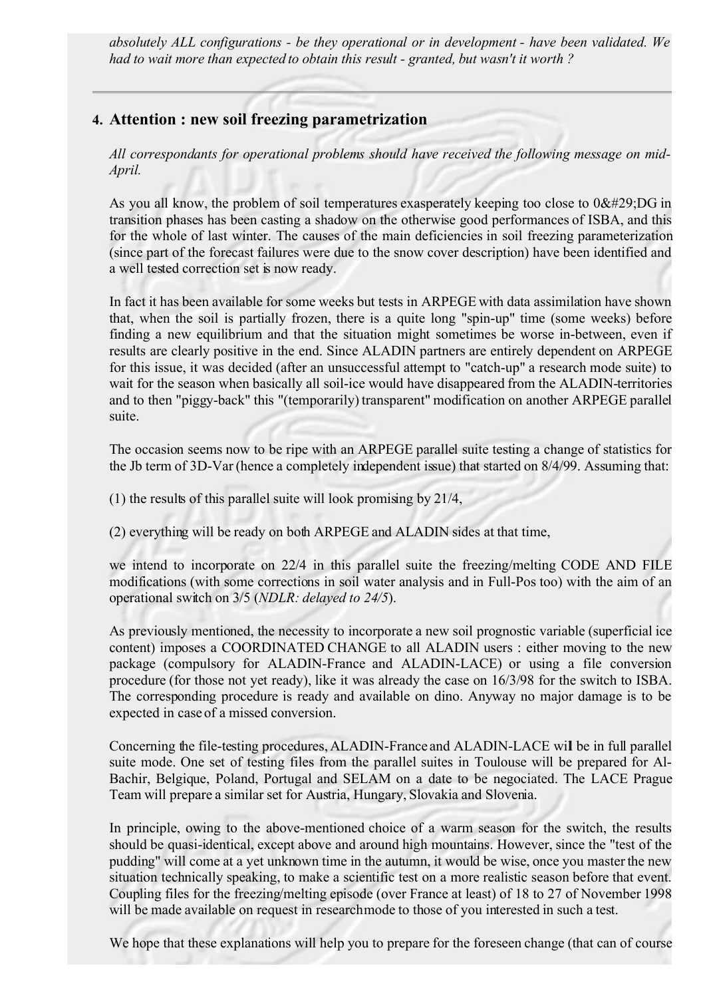*absolutely ALL configurations - be they operational or in development - have been validated. We had to wait more than expected to obtain this result - granted, but wasn't it worth ?*

### **4. Attention : new soil freezing parametrization**

*All correspondants for operational problems should have received the following message on mid-April.*

As you all know, the problem of soil temperatures exasperately keeping too close to  $0DG$  in transition phases has been casting a shadow on the otherwise good performances of ISBA, and this for the whole of last winter. The causes of the main deficiencies in soil freezing parameterization (since part of the forecast failures were due to the snow cover description) have been identified and a well tested correction set is now ready.

In fact it has been available for some weeks but tests in ARPEGE with data assimilation have shown that, when the soil is partially frozen, there is a quite long "spin-up" time (some weeks) before finding a new equilibrium and that the situation might sometimes be worse in-between, even if results are clearly positive in the end. Since ALADIN partners are entirely dependent on ARPEGE for this issue, it was decided (after an unsuccessful attempt to "catch-up" a research mode suite) to wait for the season when basically all soil-ice would have disappeared from the ALADIN-territories and to then "piggy-back" this "(temporarily) transparent" modification on another ARPEGE parallel suite.

The occasion seems now to be ripe with an ARPEGE parallel suite testing a change of statistics for the Jb term of 3D-Var (hence a completely independent issue) that started on 8/4/99. Assuming that:

- (1) the results of this parallel suite will look promising by 21/4,
- (2) everything will be ready on both ARPEGE and ALADIN sides at that time,

we intend to incorporate on 22/4 in this parallel suite the freezing/melting CODE AND FILE modifications (with some corrections in soil water analysis and in Full-Pos too) with the aim of an operational switch on 3/5 (*NDLR: delayed to 24/5*).

As previously mentioned, the necessity to incorporate a new soil prognostic variable (superficial ice content) imposes a COORDINATED CHANGE to all ALADIN users : either moving to the new package (compulsory for ALADIN-France and ALADIN-LACE) or using a file conversion procedure (for those not yet ready), like it was already the case on 16/3/98 for the switch to ISBA. The corresponding procedure is ready and available on dino. Anyway no major damage is to be expected in case of a missed conversion.

Concerning the file-testing procedures, ALADIN-France and ALADIN-LACE will be in full parallel suite mode. One set of testing files from the parallel suites in Toulouse will be prepared for Al-Bachir, Belgique, Poland, Portugal and SELAM on a date to be negociated. The LACE Prague Team will prepare a similar set for Austria, Hungary, Slovakia and Slovenia.

In principle, owing to the above-mentioned choice of a warm season for the switch, the results should be quasi-identical, except above and around high mountains. However, since the "test of the pudding" will come at a yet unknown time in the autumn, it would be wise, once you master the new situation technically speaking, to make a scientific test on a more realistic season before that event. Coupling files for the freezing/melting episode (over France at least) of 18 to 27 of November 1998 will be made available on request in research mode to those of you interested in such a test.

We hope that these explanations will help you to prepare for the foreseen change (that can of course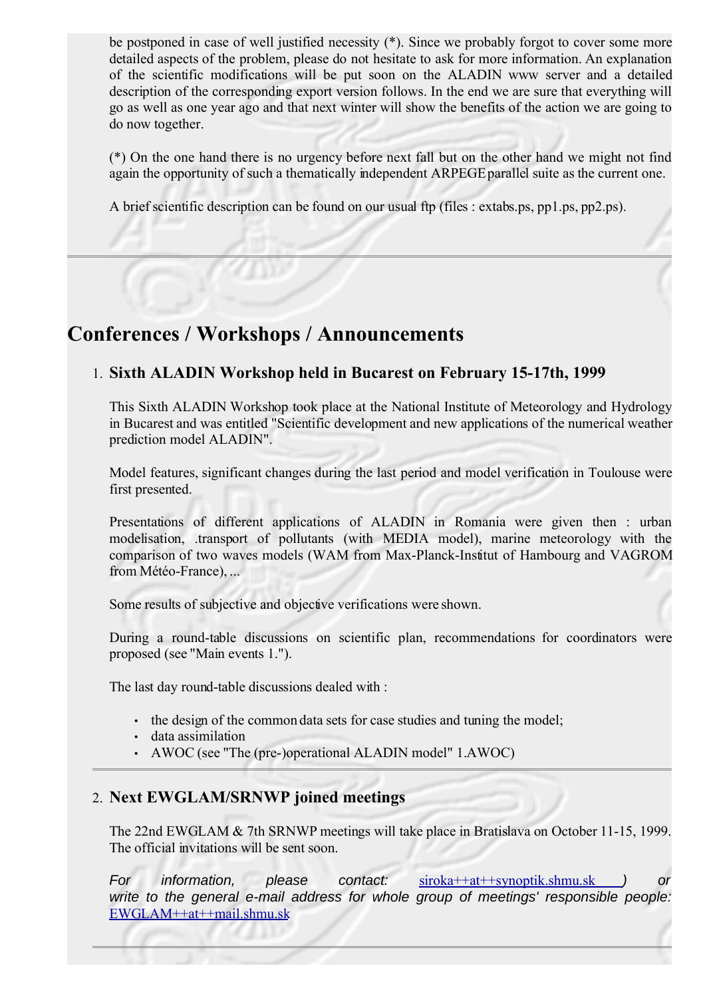be postponed in case of well justified necessity (\*). Since we probably forgot to cover some more detailed aspects of the problem, please do not hesitate to ask for more information. An explanation of the scientific modifications will be put soon on the ALADIN www server and a detailed description of the corresponding export version follows. In the end we are sure that everything will go as well as one year ago and that next winter will show the benefits of the action we are going to do now together.

(\*) On the one hand there is no urgency before next fall but on the other hand we might not find again the opportunity of such a thematically independent ARPEGE parallel suite as the current one.

A brief scientific description can be found on our usual ftp (files : extabs.ps, pp1.ps, pp2.ps).

## **Conferences / Workshops / Announcements**

### 1. **Sixth ALADIN Workshop held in Bucarest on February 15-17th, 1999**

This Sixth ALADIN Workshop took place at the National Institute of Meteorology and Hydrology in Bucarest and was entitled "Scientific development and new applications of the numerical weather prediction model ALADIN".

Model features, significant changes during the last period and model verification in Toulouse were first presented.

Presentations of different applications of ALADIN in Romania were given then : urban modelisation, .transport of pollutants (with MEDIA model), marine meteorology with the comparison of two waves models (WAM from Max-Planck-Institut of Hambourg and VAGROM from Météo-France), ...

Some results of subjective and objective verifications were shown.

During a round-table discussions on scientific plan, recommendations for coordinators were proposed (see "Main events 1.").

The last day round-table discussions dealed with :

- the design of the common data sets for case studies and tuning the model;
- data assimilation
- AWOC (see "The (pre-)operational ALADIN model" 1. AWOC)

## 2. **Next EWGLAM/SRNWP joined meetings**

The 22nd EWGLAM & 7th SRNWP meetings will take place in Bratislava on October 11-15, 1999. The official invitations will be sent soon.

For information, please contact: [siroka++at++synoptik.shmu.sk](mailto:siroka++at++synoptik.shmu.sk) ) or write to the general e-mail address for whole group of meetings' responsible people: [EWGLAM++at++mail.shmu.sk](mailto:EWGLAM++at++mail.shmu.sk)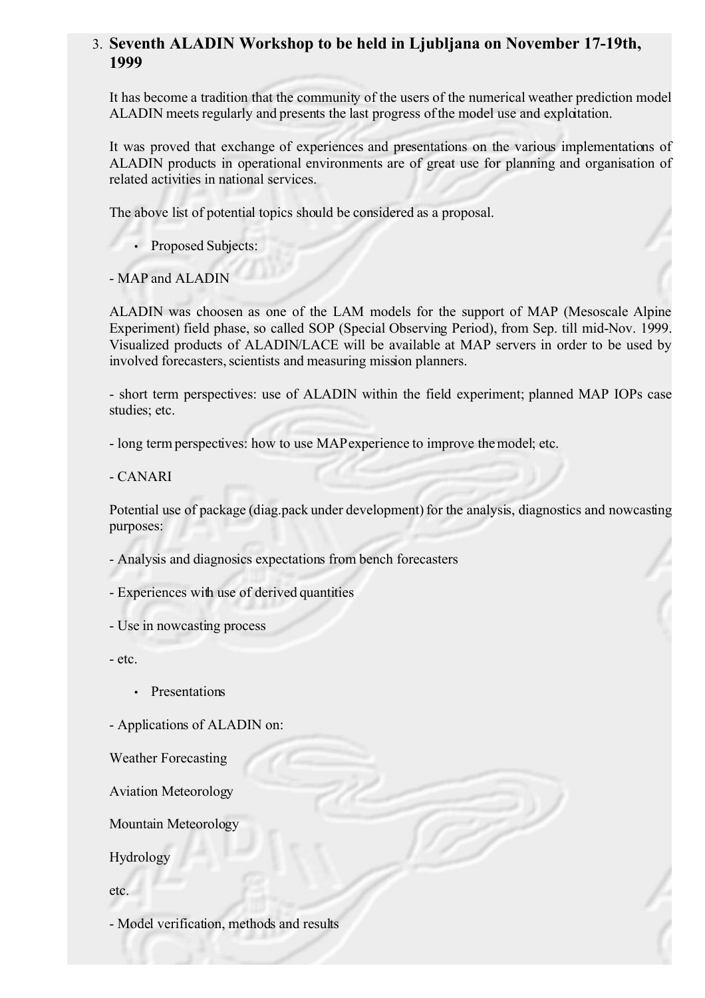### 3. **Seventh ALADIN Workshop to be held in Ljubljana on November 17-19th, 1999**

It has become a tradition that the community of the users of the numerical weather prediction model ALADIN meets regularly and presents the last progress of the model use and exploitation.

It was proved that exchange of experiences and presentations on the various implementations of ALADIN products in operational environments are of great use for planning and organisation of related activities in national services.

The above list of potential topics should be considered as a proposal.

• Proposed Subjects:

- MAP and ALADIN

ALADIN was choosen as one of the LAM models for the support of MAP (Mesoscale Alpine Experiment) field phase, so called SOP (Special Observing Period), from Sep. till mid-Nov. 1999. Visualized products of ALADIN/LACE will be available at MAP servers in order to be used by involved forecasters, scientists and measuring mission planners.

- short term perspectives: use of ALADIN within the field experiment; planned MAP IOPs case studies; etc.

- long term perspectives: how to use MAP experience to improve the model; etc.

- CANARI

Potential use of package (diag.pack under development) for the analysis, diagnostics and nowcasting purposes:

- Analysis and diagnosics expectations from bench forecasters

- Experiences with use of derived quantities

- Use in nowcasting process

- etc.

• Presentations

- Applications of ALADIN on:

Weather Forecasting

Aviation Meteorology

Mountain Meteorology

Hydrology

etc.

- Model verification, methods and results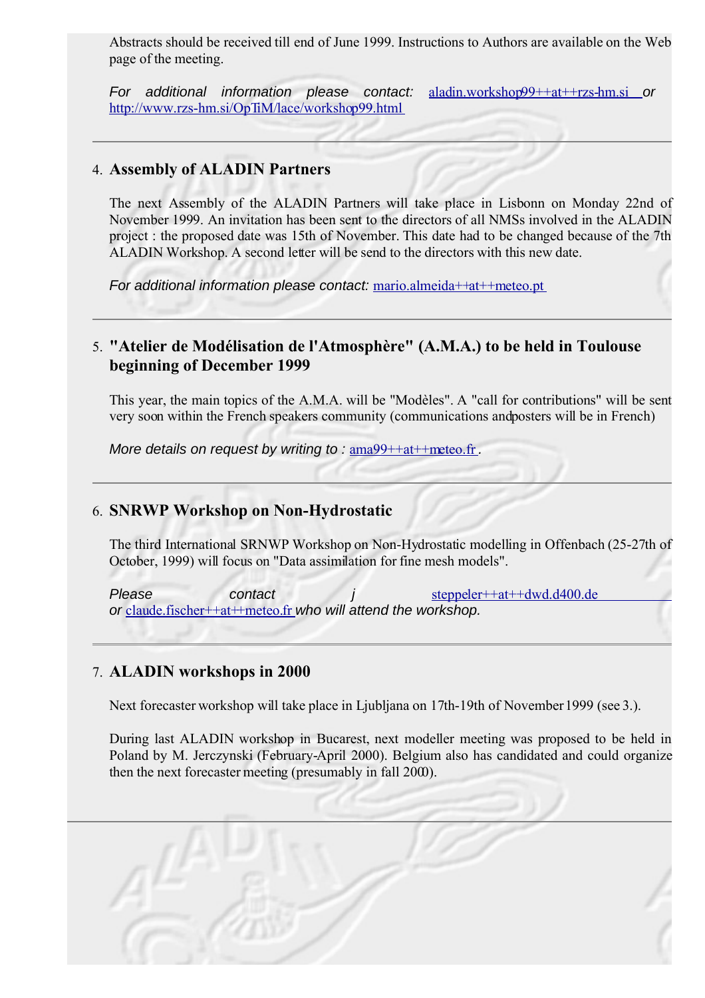Abstracts should be received till end of June 1999. Instructions to Authors are available on the Web page of the meeting.

For additional information please contact: [aladin.workshop99++at++rzs-hm.si](mailto:aladin.workshop++at++rzs-hm.si) or <http://www.rzs-hm.si/OpTiM/lace/workshop99.html>

#### 4. **Assembly of ALADIN Partners**

The next Assembly of the ALADIN Partners will take place in Lisbonn on Monday 22nd of November 1999. An invitation has been sent to the directors of all NMSs involved in the ALADIN project : the proposed date was 15th of November. This date had to be changed because of the 7th ALADIN Workshop. A second letter will be send to the directors with this new date.

For additional information please contact: [mario.almeida++at++meteo.pt](mailto:mario.almeida++at++meteo.pt)

### 5. **"Atelier de Modélisation de l'Atmosphère" (A.M.A.) to be held in Toulouse beginning of December 1999**

This year, the main topics of the A.M.A. will be "Modèles". A "call for contributions" will be sent very soon within the French speakers community (communications and posters will be in French)

More details on request by writing to : [ama99++at++meteo.fr](mailto:ama99++at++meteo.fr).

#### 6. **SNRWP Workshop on Non-Hydrostatic**

The third International SRNWP Workshop on Non-Hydrostatic modelling in Offenbach (25-27th of October, 1999) will focus on "Data assimilation for fine mesh models".

Please contact j [steppeler++at++dwd.d400.de](mailto:jsteppeler++at++dwd.d400.de) or [claude.fischer++at++meteo.fr](mailto:claude.fishcer++at++meteo.fr) who will attend the workshop.

#### 7. **ALADIN workshops in 2000**

Next forecaster workshop will take place in Ljubljana on 17th-19th of November 1999 (see 3.).

During last ALADIN workshop in Bucarest, next modeller meeting was proposed to be held in Poland by M. Jerczynski (February-April 2000). Belgium also has candidated and could organize then the next forecaster meeting (presumably in fall 2000).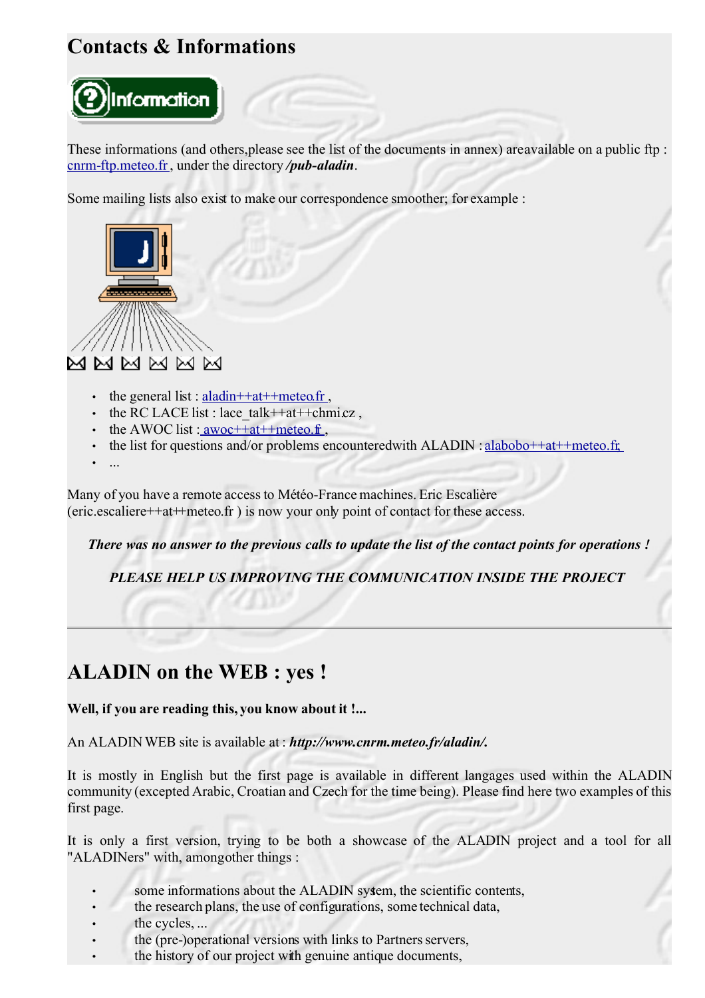# **Contacts & Informations**



These informations (and others, please see the list of the documents in annex) are available on a public ftp : [cnrm-ftp.meteo.fr,](ftp://cnrm-ftp.meteo.fr/) under the directory */pub-aladin*.

Some mailing lists also exist to make our correspondence smoother; for example :



- the general list : aladin  $++$ at $++$ meteo.fr,
- the RC LACE list : lace  $talk++ath+chmicz$ ,
- the AWOC list :  $a$ woc $++at+$ meteo.fr,
- the list for questions and/or problems encountered with  $ALADIN : alabobo++at++meteo.fr$
- ...

Many of you have a remote access to Météo-France machines. Eric Escalière (eric.escaliere++at++meteo.fr ) is now your only point of contact for these access.

There was no answer to the previous calls to update the list of the contact points for operations!

*PLEASE HELP US IMPROVING THE COMMUNICATION INSIDE THE PROJECT*

# **ALADIN on the WEB : yes !**

**Well, if you are reading this, you know about it !...**

An ALADIN WEB site is available at : *http://www.cnrm.meteo.fr/aladin/.*

It is mostly in English but the first page is available in different langages used within the ALADIN community (excepted Arabic, Croatian and Czech for the time being). Please find here two examples of this first page.

It is only a first version, trying to be both a showcase of the ALADIN project and a tool for all "ALADINers" with, among other things :

- some informations about the ALADIN system, the scientific contents,
- the research plans, the use of configurations, some technical data,
- the cycles, ...
- the (pre-)operational versions with links to Partners servers,
- the history of our project with genuine antique documents,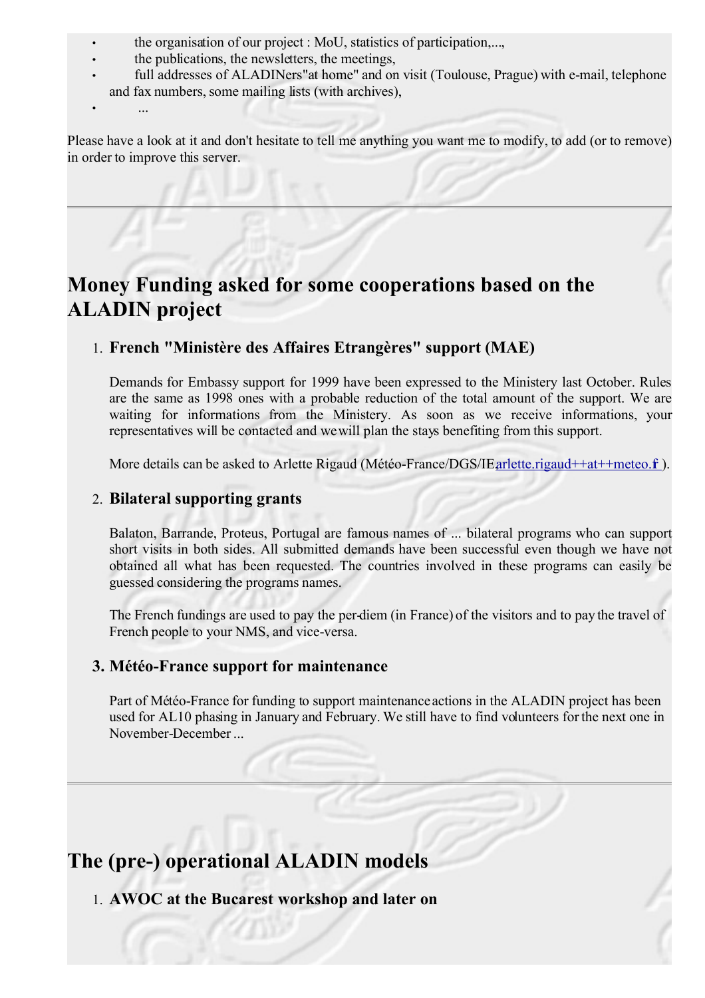- the organisation of our project : MoU, statistics of participation,...,
- the publications, the newsletters, the meetings,
- full addresses of ALADINers" at home" and on visit (Toulouse, Prague) with e-mail, telephone and fax numbers, some mailing lists (with archives),
- $\mathcal{L}_{\mathcal{P}}$

Please have a look at it and don't hesitate to tell me anything you want me to modify, to add (or to remove) in order to improve this server.

# **Money Funding asked for some cooperations based on the ALADIN project**

## 1. **French "Ministère des Affaires Etrangères" support (MAE)**

Demands for Embassy support for 1999 have been expressed to the Ministery last October. Rules are the same as 1998 ones with a probable reduction of the total amount of the support. We are waiting for informations from the Ministery. As soon as we receive informations, your representatives will be contacted and we will plan the stays benefiting from this support.

More details can be asked to Arlette Rigaud (Météo-France/DGS/IE,arlette.rigaud++at++meteo.f).

#### 2. **Bilateral supporting grants**

Balaton, Barrande, Proteus, Portugal are famous names of ... bilateral programs who can support short visits in both sides. All submitted demands have been successful even though we have not obtained all what has been requested. The countries involved in these programs can easily be guessed considering the programs names.

The French fundings are used to pay the per-diem (in France) of the visitors and to pay the travel of French people to your NMS, and vice-versa.

#### **3. Météo-France support for maintenance**

Part of Météo-France for funding to support maintenance actions in the ALADIN project has been used for AL10 phasing in January and February. We still have to find volunteers for the next one in November-December ...

## **The (pre-) operational ALADIN models**

1. **AWOC at the Bucarest workshop and later on**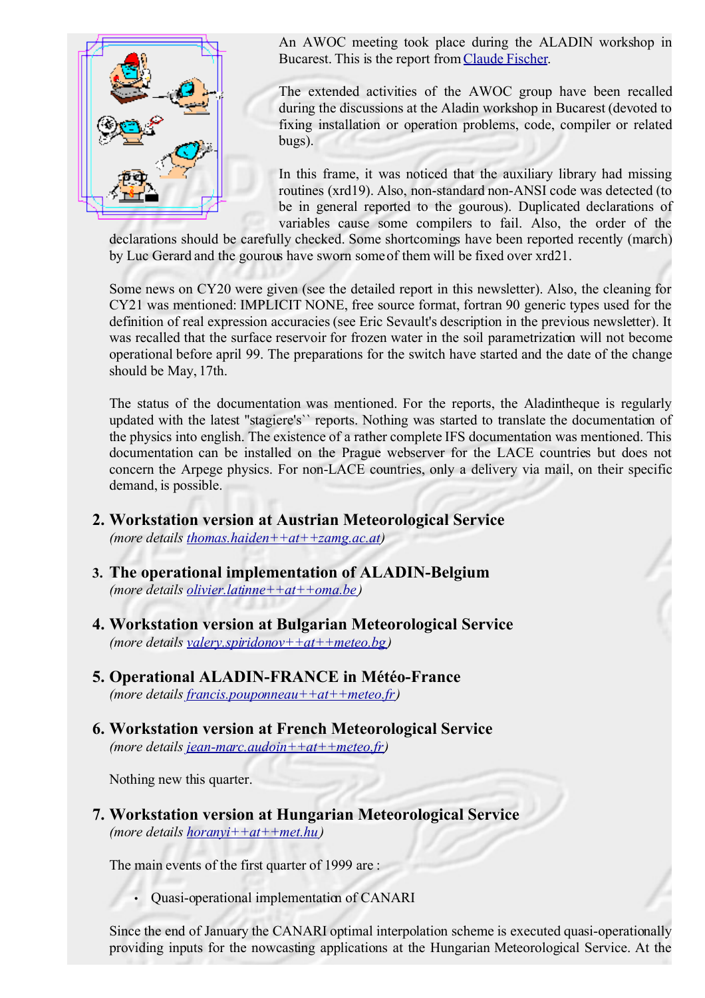

An AWOC meeting took place during the ALADIN workshop in Bucarest. This is the report from[Claude Fischer.](mailto:claude.fischer++at++meteo.fr)

The extended activities of the AWOC group have been recalled during the discussions at the Aladin workshop in Bucarest (devoted to fixing installation or operation problems, code, compiler or related bugs).

In this frame, it was noticed that the auxiliary library had missing routines (xrd19). Also, non-standard non-ANSI code was detected (to be in general reported to the gourous). Duplicated declarations of variables cause some compilers to fail. Also, the order of the

declarations should be carefully checked. Some shortcomings have been reported recently (march) by Luc Gerard and the gourous have sworn some of them will be fixed over xrd21.

Some news on CY20 were given (see the detailed report in this newsletter). Also, the cleaning for CY21 was mentioned: IMPLICIT NONE, free source format, fortran 90 generic types used for the definition of real expression accuracies(see Eric Sevault's description in the previous newsletter). It was recalled that the surface reservoir for frozen water in the soil parametrization will not become operational before april 99. The preparations for the switch have started and the date of the change should be May, 17th.

The status of the documentation was mentioned. For the reports, the Aladintheque is regularly updated with the latest ''stagiere's`` reports. Nothing was started to translate the documentation of the physics into english. The existence of a rather complete IFS documentation was mentioned. This documentation can be installed on the Prague webserver for the LACE countries but does not concern the Arpege physics. For non-LACE countries, only a delivery via mail, on their specific demand, is possible.

- **2. Workstation version at Austrian Meteorological Service** *(more details [thomas.haiden++at++zamg.ac.at \)](mailto:thomas.haiden++at++zamg.ac.at)*
- **3. The operational implementation of ALADIN-Belgium** *(more details [olivier.latinne++at++oma.be\)](mailto:olivier.latinne++at++oma.be)*
- **4. Workstation version at Bulgarian Meteorological Service**  *(more details [valery.spiridonov++at++meteo.bg\)](mailto:valery.spiridonov++at++meteo.bg)*
- **5. Operational ALADIN-FRANCE in Météo-France**  *(more details [francis.pouponneau++at++meteo.fr \)](mailto:francis.pouponneau++at++meteo.fr)*
- **6. Workstation version at French Meteorological Service** *(more details [jean-marc.audoin++at++meteo.fr \)](mailto:jean-marc.audoin++at++meteo.fr)*

Nothing new this quarter.

**7. Workstation version at Hungarian Meteorological Service**  *(more details [horanyi++at++met.hu\)](mailto:horanyi++at++met.hu)*

The main events of the first quarter of 1999 are :

• Quasi-operational implementation of CANARI

Since the end of January the CANARI optimal interpolation scheme is executed quasi-operationally providing inputs for the nowcasting applications at the Hungarian Meteorological Service. At the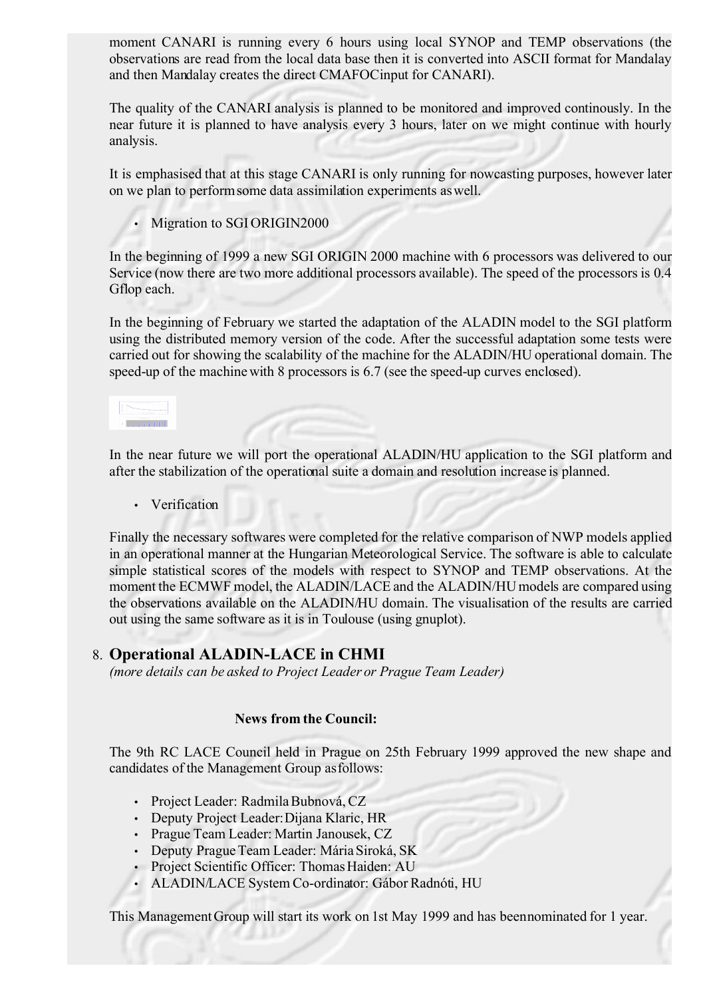moment CANARI is running every 6 hours using local SYNOP and TEMP observations (the observations are read from the local data base then it is converted into ASCII format for Mandalay and then Mandalay creates the direct CMAFOCinput for CANARI).

The quality of the CANARI analysis is planned to be monitored and improved continously. In the near future it is planned to have analysis every 3 hours, later on we might continue with hourly analysis.

It is emphasised that at this stage CANARI is only running for nowcasting purposes, however later on we plan to perform some data assimilation experiments as well.

• Migration to SGI ORIGIN2000

In the beginning of 1999 a new SGI ORIGIN 2000 machine with 6 processors was delivered to our Service (now there are two more additional processors available). The speed of the processors is 0.4 Gflop each.

In the beginning of February we started the adaptation of the ALADIN model to the SGI platform using the distributed memory version of the code. After the successful adaptation some tests were carried out for showing the scalability of the machine for the ALADIN/HU operational domain. The speed-up of the machine with 8 processors is 6.7 (see the speed-up curves enclosed).

**Connect Little** 

In the near future we will port the operational ALADIN/HU application to the SGI platform and after the stabilization of the operational suite a domain and resolution increase is planned.

• Verification

Finally the necessary softwares were completed for the relative comparison of NWP models applied in an operational manner at the Hungarian Meteorological Service. The software is able to calculate simple statistical scores of the models with respect to SYNOP and TEMP observations. At the moment the ECMWF model, the ALADIN/LACE and the ALADIN/HU models are compared using the observations available on the ALADIN/HU domain. The visualisation of the results are carried out using the same software as it is in Toulouse (using gnuplot).

#### 8. **Operational ALADIN-LACE in CHMI**

*(more details can be asked to Project Leader or Prague Team Leader)*

#### **News from the Council:**

The 9th RC LACE Council held in Prague on 25th February 1999 approved the new shape and candidates of the Management Group as follows:

- Project Leader: Radmila Bubnová, CZ
- Deputy Project Leader: Dijana Klaric, HR
- Prague Team Leader: Martin Janousek, CZ
- Deputy Prague Team Leader: Mária Siroká, SK
- Project Scientific Officer: Thomas Haiden: AU
- ALADIN/LACE System Co-ordinator: Gábor Radnóti, HU

This Management Group will start its work on 1st May 1999 and has been nominated for 1 year.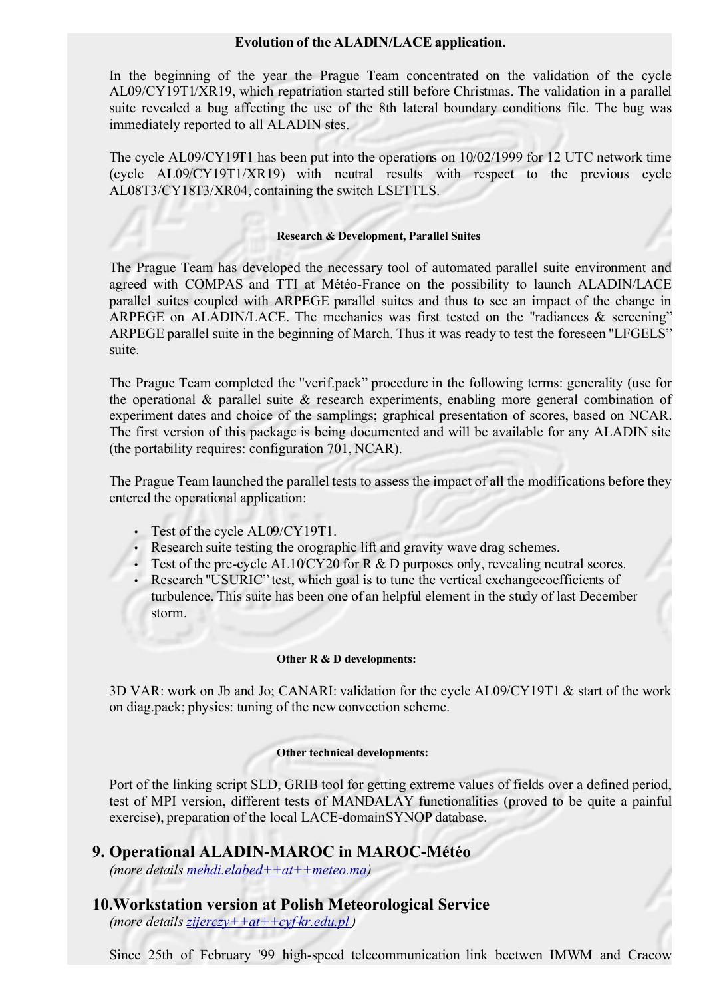#### **Evolution of the ALADIN/LACE application.**

In the beginning of the year the Prague Team concentrated on the validation of the cycle AL09/CY19T1/XR19, which repatriation started still before Christmas. The validation in a parallel suite revealed a bug affecting the use of the 8th lateral boundary conditions file. The bug was immediately reported to all ALADIN sites.

The cycle AL09/CY19T1 has been put into the operations on 10/02/1999 for 12 UTC network time (cycle AL09/CY19T1/XR19) with neutral results with respect to the previous cycle AL08T3/CY18T3/XR04, containing the switch LSETTLS.

#### **Research & Development, Parallel Suites**

The Prague Team has developed the necessary tool of automated parallel suite environment and agreed with COMPAS and TTI at Météo-France on the possibility to launch ALADIN/LACE parallel suites coupled with ARPEGE parallel suites and thus to see an impact of the change in ARPEGE on ALADIN/LACE. The mechanics was first tested on the "radiances & screening" ARPEGE parallel suite in the beginning of March. Thus it was ready to test the foreseen ''LFGELS" suite.

The Prague Team completed the ''verif.pack" procedure in the following terms: generality (use for the operational & parallel suite & research experiments, enabling more general combination of experiment dates and choice of the samplings; graphical presentation of scores, based on NCAR. The first version of this package is being documented and will be available for any ALADIN site (the portability requires: configuration 701, NCAR).

The Prague Team launched the parallel tests to assess the impact of all the modifications before they entered the operational application:

- Test of the cycle AL09/CY19T1.
- Research suite testing the orographic lift and gravity wave drag schemes.
- Test of the pre-cycle AL10/CY20 for R & D purposes only, revealing neutral scores.
- Research "USURIC" test, which goal is to tune the vertical exchange coefficients of turbulence. This suite has been one of an helpful element in the study of last December storm.

#### **Other R & D developments:**

3D VAR: work on Jb and Jo; CANARI: validation for the cycle AL09/CY19T1 & start of the work on diag.pack; physics: tuning of the new convection scheme.

#### **Other technical developments:**

Port of the linking script SLD, GRIB tool for getting extreme values of fields over a defined period, test of MPI version, different tests of MANDALAY functionalities (proved to be quite a painful exercise), preparation of the local LACE-domain SYNOP database.

#### **9. Operational ALADIN-MAROC in MAROC-Météo**

*(more details [mehdi.elabed++at++meteo.ma \)](mailto:mehdi.elabed++at++meteo.ma)*

**10.Workstation version at Polish Meteorological Service**  *(more details [zijerczy++at++cyf-kr.edu.pl \)](mailto:zijerczy++at++cyf-kr.edu.pl)*

Since 25th of February '99 high-speed telecommunication link beetwen IMWM and Cracow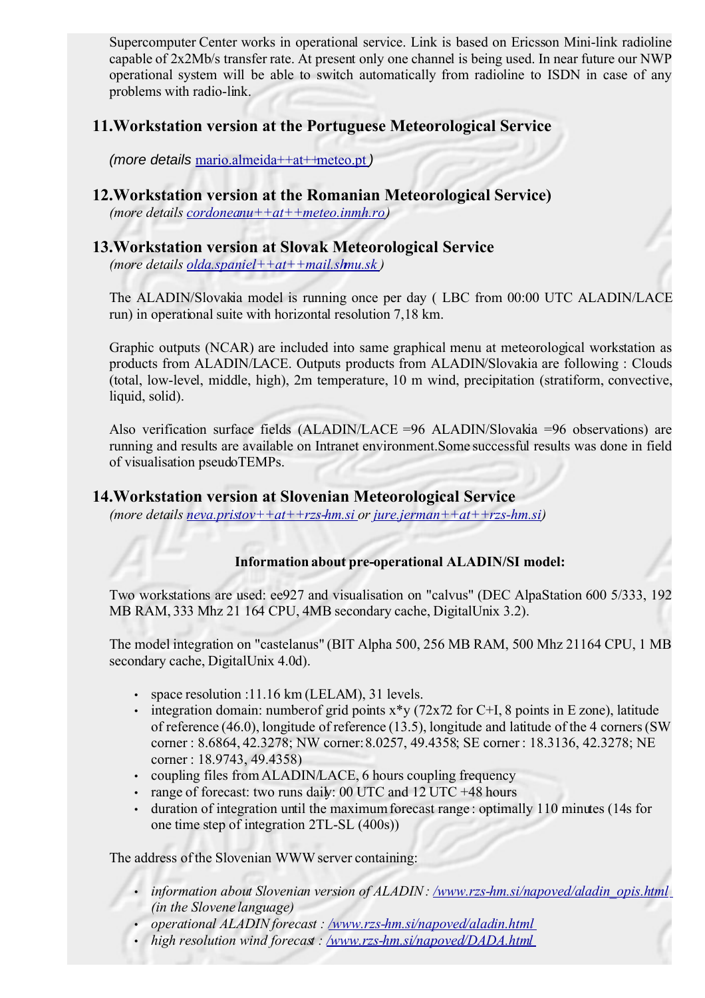Supercomputer Center works in operational service. Link is based on Ericsson Mini-link radioline capable of 2x2Mb/s transfer rate. At present only one channel is being used. In near future our NWP operational system will be able to switch automatically from radioline to ISDN in case of any problems with radio-link.

#### **11.Workstation version at the Portuguese Meteorological Service**

(more details [mario.almeida++at++meteo.pt](mailto:mario.almeida++at++meteo.pt) )

### **12.Workstation version at the Romanian Meteorological Service)**

*(more details [cordoneanu++at++meteo.inmh.ro \)](mailto:cordoneanu++at++meteo.inmh.ro)*

#### **13.Workstation version at Slovak Meteorological Service**

*(more details [olda.spaniel++at++mail.shmu.sk](mailto:olda.spaniel++at++mail.shmu.sk) )*

The ALADIN/Slovakia model is running once per day ( LBC from 00:00 UTC ALADIN/LACE run) in operational suite with horizontal resolution 7,18 km.

Graphic outputs (NCAR) are included into same graphical menu at meteorological workstation as products from ALADIN/LACE. Outputs products from ALADIN/Slovakia are following : Clouds (total, low-level, middle, high), 2m temperature, 10 m wind, precipitation (stratiform, convective, liquid, solid).

Also verification surface fields (ALADIN/LACE =96 ALADIN/Slovakia =96 observations) are running and results are available on Intranet environment.Some successful results was done in field of visualisation pseudoTEMPs.

#### **14.Workstation version at Slovenian Meteorological Service**

*(more details [neva.pristov++at++rzs-hm.si o](mailto:neva.pristov++at++rzs-hm.si)r [jure.jerman++at++rzs-hm.si \)](mailto:jure.jerman++at++rzs-hm.si)* 

#### **Information about pre-operational ALADIN/SI model:**

Two workstations are used: ee927 and visualisation on "calvus" (DEC AlpaStation 600 5/333, 192 MB RAM, 333 Mhz 21 164 CPU, 4MB secondary cache, DigitalUnix 3.2).

The model integration on "castelanus" (BIT Alpha 500, 256 MB RAM, 500 Mhz 21164 CPU, 1 MB secondary cache, DigitalUnix 4.0d).

- space resolution :11.16 km (LELAM), 31 levels.
- integration domain: number of grid points  $x*y$  (72x72 for C+I, 8 points in E zone), latitude of reference (46.0), longitude of reference (13.5), longitude and latitude of the 4 corners (SW corner : 8.6864, 42.3278; NW corner: 8.0257, 49.4358; SE corner : 18.3136, 42.3278; NE corner : 18.9743, 49.4358)
- coupling files from ALADIN/LACE, 6 hours coupling frequency
- range of forecast: two runs daily: 00 UTC and 12 UTC +48 hours
- duration of integration until the maximumforecast range : optimally 110 minutes (14s for one time step of integration 2TL-SL (400s))

The address of the Slovenian WWW server containing:

- *information about Slovenian version of ALADIN : [/www.rzs-hm.si/napoved/aladin\\_opis.html](http://www.rzs-hm.si/napoved/aladin_opis.html) [\(](http://www.rzs-hm.si/napoved/aladin_opis.html)in the Slovene language)*
- *operational ALADIN forecast : [/www.rzs-hm.si/napoved/aladin.html](http://www.rzs-hm.si/napoved/aladin.html)*
- *high resolution wind forecast : [/www.rzs-hm.si/napoved/DADA.html](http://www.rzs-hm.si/napoved/DADA.html)*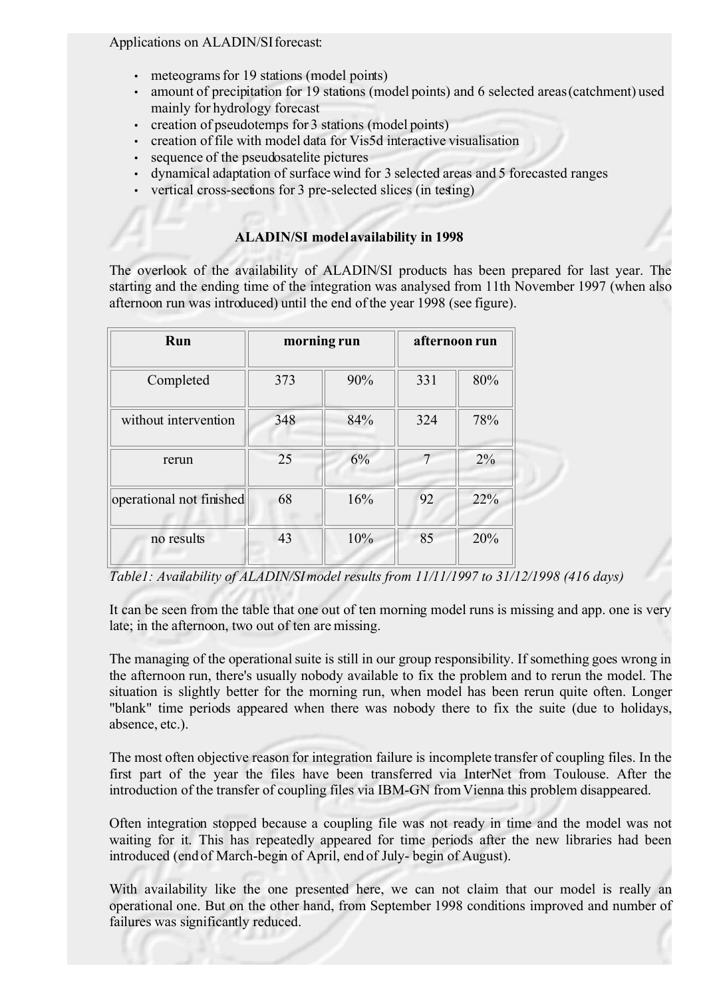#### Applications on ALADIN/SI forecast:

- meteograms for 19 stations (model points)
- amount of precipitation for 19 stations (model points) and 6 selected areas (catchment) used mainly for hydrology forecast
- creation of pseudotemps for 3 stations (model points)
- creation of file with model data for Vis5d interactive visualisation
- sequence of the pseudosatelite pictures
- dynamical adaptation of surface wind for 3 selected areas and 5 forecasted ranges
- vertical cross-sections for 3 pre-selected slices (in testing)

#### **ALADIN/SI model availability in 1998**

The overlook of the availability of ALADIN/SI products has been prepared for last year. The starting and the ending time of the integration was analysed from 11th November 1997 (when also afternoon run was introduced) until the end of the year 1998 (see figure).

| Run                      | morning run |     | afternoon run |     |
|--------------------------|-------------|-----|---------------|-----|
| Completed                | 373         | 90% | 331           | 80% |
| without intervention     | 348         | 84% | 324           | 78% |
| rerun                    | 25          | 6%  | 7             | 2%  |
| operational not finished | 68          | 16% | 92            | 22% |
| no results               | 43          | 10% | 85            | 20% |

*Table1: Availability of ALADIN/SI model results from 11/11/1997 to 31/12/1998 (416 days)*

It can be seen from the table that one out of ten morning model runs is missing and app. one is very late; in the afternoon, two out of ten are missing.

The managing of the operational suite is still in our group responsibility. If something goes wrong in the afternoon run, there's usually nobody available to fix the problem and to rerun the model. The situation is slightly better for the morning run, when model has been rerun quite often. Longer "blank" time periods appeared when there was nobody there to fix the suite (due to holidays, absence, etc.).

The most often objective reason for integration failure is incomplete transfer of coupling files. In the first part of the year the files have been transferred via InterNet from Toulouse. After the introduction of the transfer of coupling files via IBM-GN from Vienna this problem disappeared.

Often integration stopped because a coupling file was not ready in time and the model was not waiting for it. This has repeatedly appeared for time periods after the new libraries had been introduced (end of March-begin of April, end of July- begin of August).

With availability like the one presented here, we can not claim that our model is really an operational one. But on the other hand, from September 1998 conditions improved and number of failures was significantly reduced.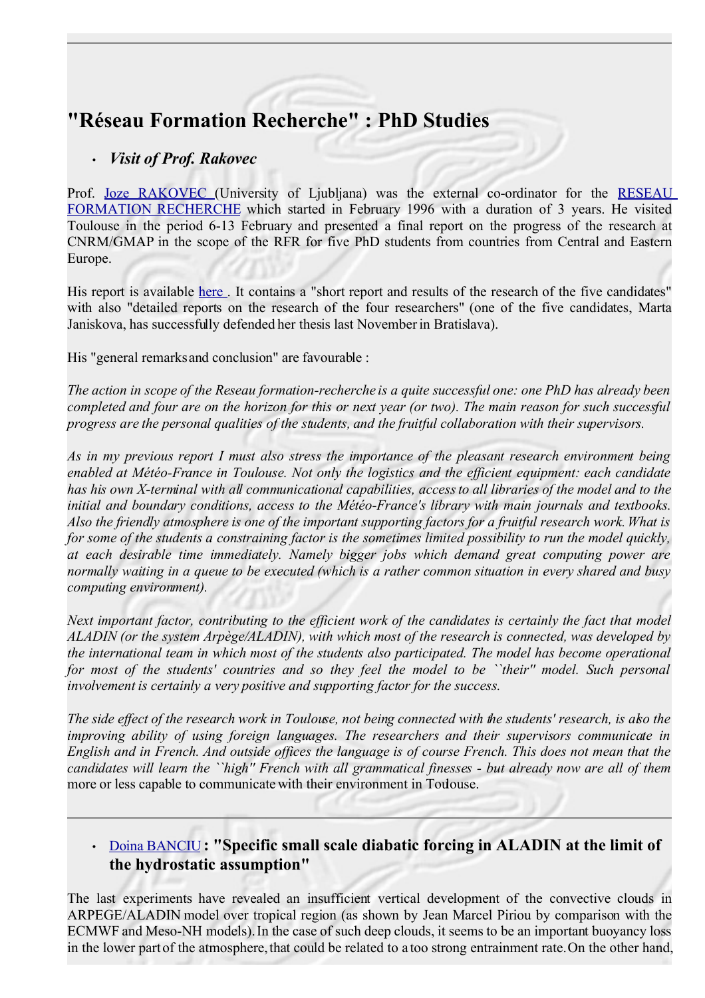# **"Réseau Formation Recherche" : PhD Studies**

### • *Visit of Prof. Rakovec*

Prof. Joze [RAKOVEC](mailto:joze.rakovec++at++uni-lj.si) (University of Ljubljana) was the external co-ordinator for the [RESEAU](file:///var/www/html/aladin/publications/rfr.html) [FORMATION](file:///var/www/html/aladin/publications/rfr.html) RECHERCHE which started in February 1996 with a duration of 3 years. He visited Toulouse in the period 6-13 February and presented a final report on the progress of the research at CNRM/GMAP in the scope of the RFR for five PhD students from countries from Central and Eastern Europe.

His report is available [here](file:///var/www/html/aladin/publications/rapprfr.html). It contains a "short report and results of the research of the five candidates" with also "detailed reports on the research of the four researchers" (one of the five candidates, Marta Janiskova, has successfully defended her thesis last November in Bratislava).

His "general remarksand conclusion" are favourable :

*The action in scope of the Reseau formation-recherche is a quite successful one: one PhD has already been* completed and four are on the horizon for this or next year (or two). The main reason for such successful *progress are the personal qualities of the students, and the fruitful collaboration with their supervisors.*

*As in my previous report I must also stress the importance of the pleasant research environment being enabled at Météo-France in Toulouse. Not only the logistics and the efficient equipment: each candidate has his own X-terminal with all communicational capabilities, access to all libraries of the model and to the initial and boundary conditions, access to the Météo-France's library with main journals and textbooks. Also the friendly atmosphere is one of the important supporting factors for a fruitful research work. What is* for some of the students a constraining factor is the sometimes limited possibility to run the model quickly. *at each desirable time immediately. Namely bigger jobs which demand great computing power are* normally waiting in a queue to be executed (which is a rather common situation in every shared and busy *computing environment).*

Next important factor, contributing to the efficient work of the candidates is certainly the fact that model *ALADIN (or the system Arpège/ALADIN), with which most of the research is connected, was developed by the international team in which most of the students also participated. The model has become operational* for most of the students' countries and so they feel the model to be "their" model. Such personal *involvement is certainly a very positive and supporting factor for the success.* 

*The side effect of the research work in Toulouse, not being connected with the students' research, is also the improving ability of using foreign languages. The researchers and their supervisors communicate in* English and in French. And outside offices the language is of course French. This does not mean that the candidates will learn the ``high'' French with all grammatical finesses - but already now are all of them more or less capable to communicate with their environment in Toulouse.

## • [Doina BANCIU](mailto:banciu++at++meteo.inmh.ro) **: "Specific small scale diabatic forcing in ALADIN at the limit of the hydrostatic assumption"**

The last experiments have revealed an insufficient vertical development of the convective clouds in ARPEGE/ALADIN model over tropical region (as shown by Jean Marcel Piriou by comparison with the ECMWF and Meso-NH models). In the case of such deep clouds, it seems to be an important buoyancy loss in the lower part of the atmosphere, that could be related to a too strong entrainment rate. On the other hand,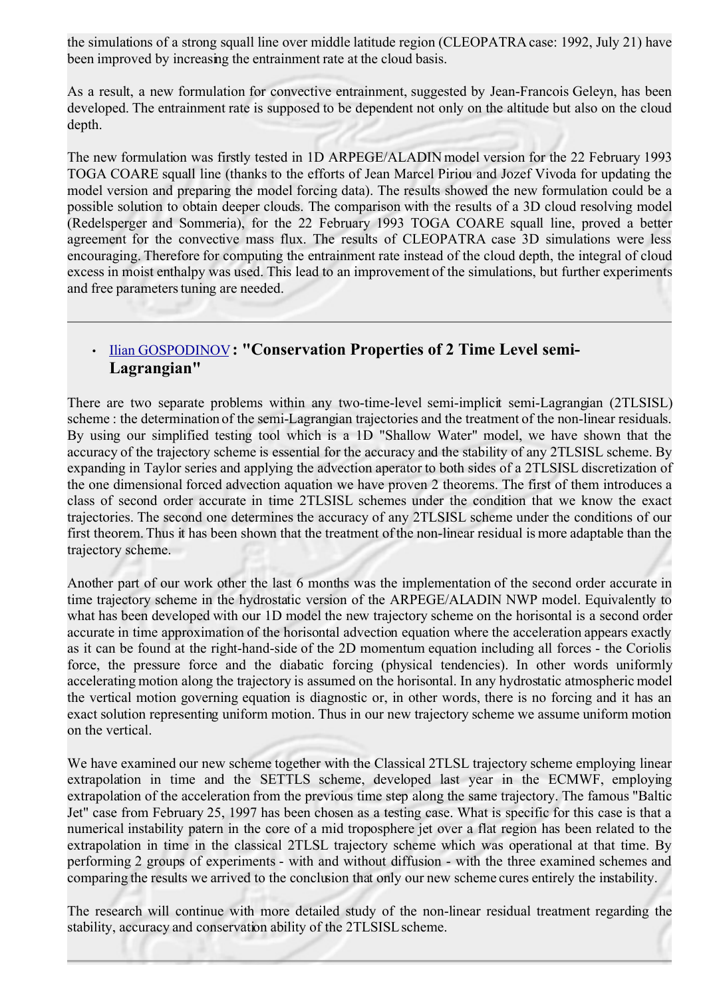the simulations of a strong squall line over middle latitude region (CLEOPATRA case: 1992, July 21) have been improved by increasing the entrainment rate at the cloud basis.

As a result, a new formulation for convective entrainment, suggested by Jean-Francois Geleyn, has been developed. The entrainment rate is supposed to be dependent not only on the altitude but also on the cloud depth.

The new formulation was firstly tested in 1D ARPEGE/ALADIN model version for the 22 February 1993 TOGA COARE squall line (thanks to the efforts of Jean Marcel Piriou and Jozef Vivoda for updating the model version and preparing the model forcing data). The results showed the new formulation could be a possible solution to obtain deeper clouds. The comparison with the results of a 3D cloud resolving model (Redelsperger and Sommeria), for the 22 February 1993 TOGA COARE squall line, proved a better agreement for the convective mass flux. The results of CLEOPATRA case 3D simulations were less encouraging. Therefore for computing the entrainment rate instead of the cloud depth, the integral of cloud excess in moist enthalpy was used. This lead to an improvement of the simulations, but further experiments and free parameters tuning are needed.

## • [Ilian GOSPODINOV](mailto:ilian.gospodinov++at++meteo.bg)**: "Conservation Properties of 2 Time Level semi-Lagrangian"**

There are two separate problems within any two-time-level semi-implicit semi-Lagrangian (2TLSISL) scheme : the determination of the semi-Lagrangian trajectories and the treatment of the non-linear residuals. By using our simplified testing tool which is a 1D "Shallow Water" model, we have shown that the accuracy of the trajectory scheme is essential for the accuracy and the stability of any 2TLSISL scheme. By expanding in Taylor series and applying the advection aperator to both sides of a 2TLSISL discretization of the one dimensional forced advection aquation we have proven 2 theorems. The first of them introduces a class of second order accurate in time 2TLSISL schemes under the condition that we know the exact trajectories. The second one determines the accuracy of any 2TLSISL scheme under the conditions of our first theorem. Thus it has been shown that the treatment of the non-linear residual is more adaptable than the trajectory scheme.

Another part of our work other the last 6 months was the implementation of the second order accurate in time trajectory scheme in the hydrostatic version of the ARPEGE/ALADIN NWP model. Equivalently to what has been developed with our 1D model the new trajectory scheme on the horisontal is a second order accurate in time approximation of the horisontal advection equation where the acceleration appears exactly as it can be found at the right-hand-side of the 2D momentum equation including all forces - the Coriolis force, the pressure force and the diabatic forcing (physical tendencies). In other words uniformly accelerating motion along the trajectory is assumed on the horisontal. In any hydrostatic atmospheric model the vertical motion governing equation is diagnostic or, in other words, there is no forcing and it has an exact solution representing uniform motion. Thus in our new trajectory scheme we assume uniform motion on the vertical.

We have examined our new scheme together with the Classical 2TLSL trajectory scheme employing linear extrapolation in time and the SETTLS scheme, developed last year in the ECMWF, employing extrapolation of the acceleration from the previous time step along the same trajectory. The famous "Baltic Jet" case from February 25, 1997 has been chosen as a testing case. What is specific for this case is that a numerical instability patern in the core of a mid troposphere jet over a flat region has been related to the extrapolation in time in the classical 2TLSL trajectory scheme which was operational at that time. By performing 2 groups of experiments - with and without diffusion - with the three examined schemes and comparing the results we arrived to the conclusion that only our new scheme cures entirely the instability.

The research will continue with more detailed study of the non-linear residual treatment regarding the stability, accuracy and conservation ability of the 2TLSISL scheme.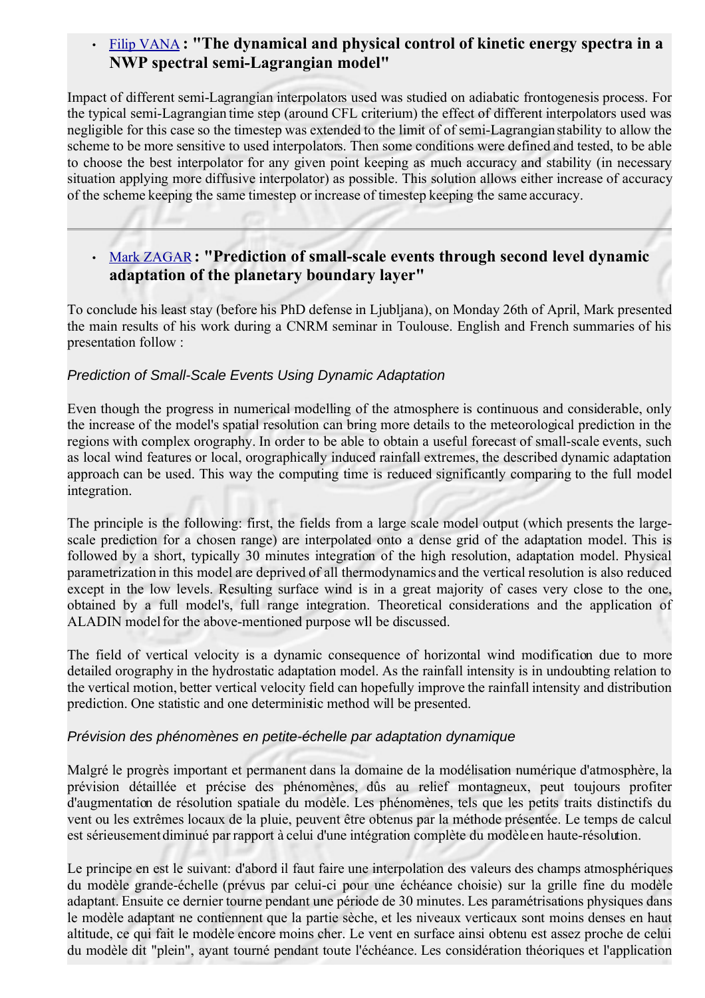### • [Filip VANA](mailto:vana++at++chmi.cz) **: "The dynamical and physical control of kinetic energy spectra in a NWP spectral semi-Lagrangian model"**

Impact of different semi-Lagrangian interpolators used was studied on adiabatic frontogenesis process. For the typical semi-Lagrangian time step (around CFL criterium) the effect of different interpolators used was negligible for this case so the timestep was extended to the limit of of semi-Lagrangian stability to allow the scheme to be more sensitive to used interpolators. Then some conditions were defined and tested, to be able to choose the best interpolator for any given point keeping as much accuracy and stability (in necessary situation applying more diffusive interpolator) as possible. This solution allows either increase of accuracy of the scheme keeping the same timestep or increase of timestep keeping the same accuracy.

## • [Mark ZAGAR](mailto:mark.zagar++at++rzs-hm.si)**: "Prediction of small-scale events through second level dynamic adaptation of the planetary boundary layer"**

To conclude his least stay (before his PhD defense in Ljubljana), on Monday 26th of April, Mark presented the main results of his work during a CNRM seminar in Toulouse. English and French summaries of his presentation follow :

#### Prediction of Small-Scale Events Using Dynamic Adaptation

Even though the progress in numerical modelling of the atmosphere is continuous and considerable, only the increase of the model's spatial resolution can bring more details to the meteorological prediction in the regions with complex orography. In order to be able to obtain a useful forecast of small-scale events, such as local wind features or local, orographically induced rainfall extremes, the described dynamic adaptation approach can be used. This way the computing time is reduced significantly comparing to the full model integration.

The principle is the following: first, the fields from a large scale model output (which presents the largescale prediction for a chosen range) are interpolated onto a dense grid of the adaptation model. This is followed by a short, typically 30 minutes integration of the high resolution, adaptation model. Physical parametrization in this model are deprived of all thermodynamics and the vertical resolution is also reduced except in the low levels. Resulting surface wind is in a great majority of cases very close to the one, obtained by a full model's, full range integration. Theoretical considerations and the application of ALADIN model for the above-mentioned purpose will be discussed.

The field of vertical velocity is a dynamic consequence of horizontal wind modification due to more detailed orography in the hydrostatic adaptation model. As the rainfall intensity is in undoubting relation to the vertical motion, better vertical velocity field can hopefully improve the rainfall intensity and distribution prediction. One statistic and one deterministic method will be presented.

#### Prévision des phénomènes en petite-échelle par adaptation dynamique

Malgré le progrès important et permanent dans la domaine de la modélisation numérique d'atmosphère, la prévision détaillée et précise des phénomènes, dûs au relief montagneux, peut toujours profiter d'augmentation de résolution spatiale du modèle. Les phénomènes, tels que les petits traits distinctifs du vent ou les extrêmes locaux de la pluie, peuvent être obtenus par la méthode présentée. Le temps de calcul est sérieusement diminué par rapport à celui d'une intégration complète du modèle en haute-résolution.

Le principe en est le suivant: d'abord il faut faire une interpolation des valeurs des champs atmosphériques du modèle grande-échelle (prévus par celui-ci pour une échéance choisie) sur la grille fine du modèle adaptant. Ensuite ce dernier tourne pendant une période de 30 minutes. Les paramétrisations physiques dans le modèle adaptant ne contiennent que la partie sèche, et les niveaux verticaux sont moins denses en haut altitude, ce qui fait le modèle encore moins cher. Le vent en surface ainsi obtenu est assez proche de celui du modèle dit "plein", ayant tourné pendant toute l'échéance. Les considération théoriques et l'application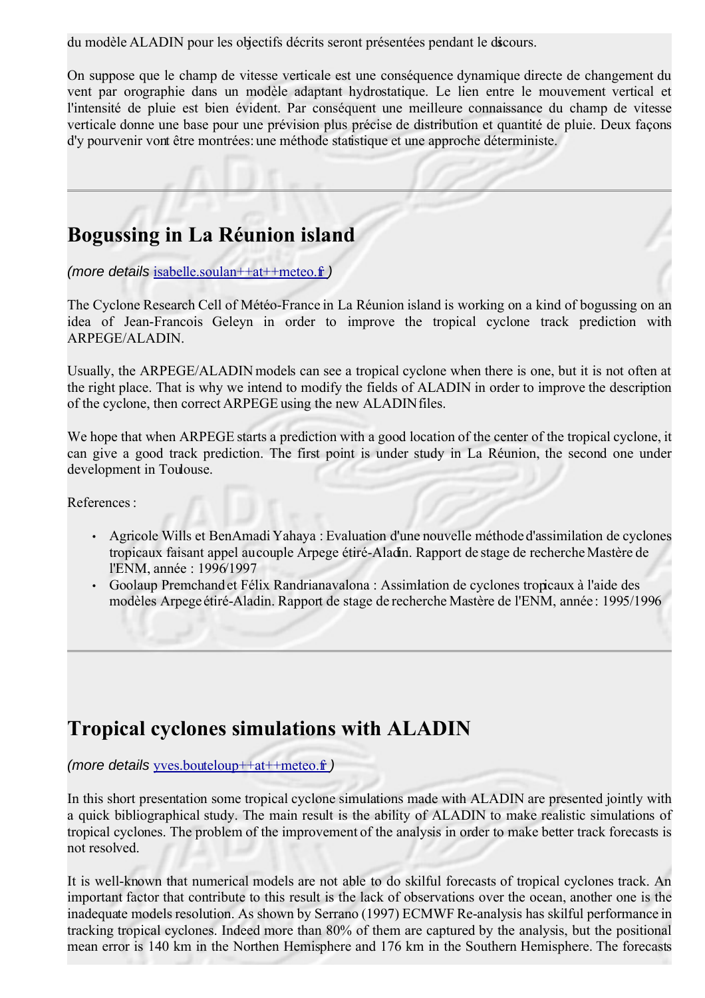du modèle ALADIN pour les objectifs décrits seront présentées pendant le discours.

On suppose que le champ de vitesse verticale est une conséquence dynamique directe de changement du vent par orographie dans un modèle adaptant hydrostatique. Le lien entre le mouvement vertical et l'intensité de pluie est bien évident. Par conséquent une meilleure connaissance du champ de vitesse verticale donne une base pour une prévision plus précise de distribution et quantité de pluie. Deux façons d'y pourvenir vont être montrées: une méthode statistique et une approche déterministe.

## **Bogussing in La Réunion island**

(more details [isabelle.soulan++at++meteo.fr](mailto:isabelle.soulan++at++meteo.fr))

The Cyclone Research Cell of Météo-France in La Réunion island is working on a kind of bogussing on an idea of Jean-Francois Geleyn in order to improve the tropical cyclone track prediction with ARPEGE/ALADIN.

Usually, the ARPEGE/ALADIN models can see a tropical cyclone when there is one, but it is not often at the right place. That is why we intend to modify the fields of ALADIN in order to improve the description of the cyclone, then correct ARPEGE using the new ALADIN files.

We hope that when ARPEGE starts a prediction with a good location of the center of the tropical cyclone, it can give a good track prediction. The first point is under study in La Réunion, the second one under development in Toulouse.

References<sup>.</sup>

- Agricole Wills et BenAmadi Yahaya : Evaluation d'une nouvelle méthode d'assimilation de cyclones tropicaux faisant appel au couple Arpege étiré-Aladin. Rapport de stage de recherche Mastère de l'ENM, année : 1996/1997
- Goolaup Premchandet Félix Randrianavalona : Assimilation de cyclones tropicaux à l'aide des modèles Arpege étiré-Aladin. Rapport de stage de recherche Mastère de l'ENM, année : 1995/1996

## **Tropical cyclones simulations with ALADIN**

(more details [yves.bouteloup++at++meteo.fr](mailto:yves.bouteloup++at++meteo.fr))

In this short presentation some tropical cyclone simulations made with ALADIN are presented jointly with a quick bibliographical study. The main result is the ability of ALADIN to make realistic simulations of tropical cyclones. The problem of the improvement of the analysis in order to make better track forecasts is not resolved.

It is well-known that numerical models are not able to do skilful forecasts of tropical cyclones track. An important factor that contribute to this result is the lack of observations over the ocean, another one is the inadequate models resolution. As shown by Serrano (1997) ECMWF Re-analysis has skilful performance in tracking tropical cyclones. Indeed more than 80% of them are captured by the analysis, but the positional mean error is 140 km in the Northen Hemisphere and 176 km in the Southern Hemisphere. The forecasts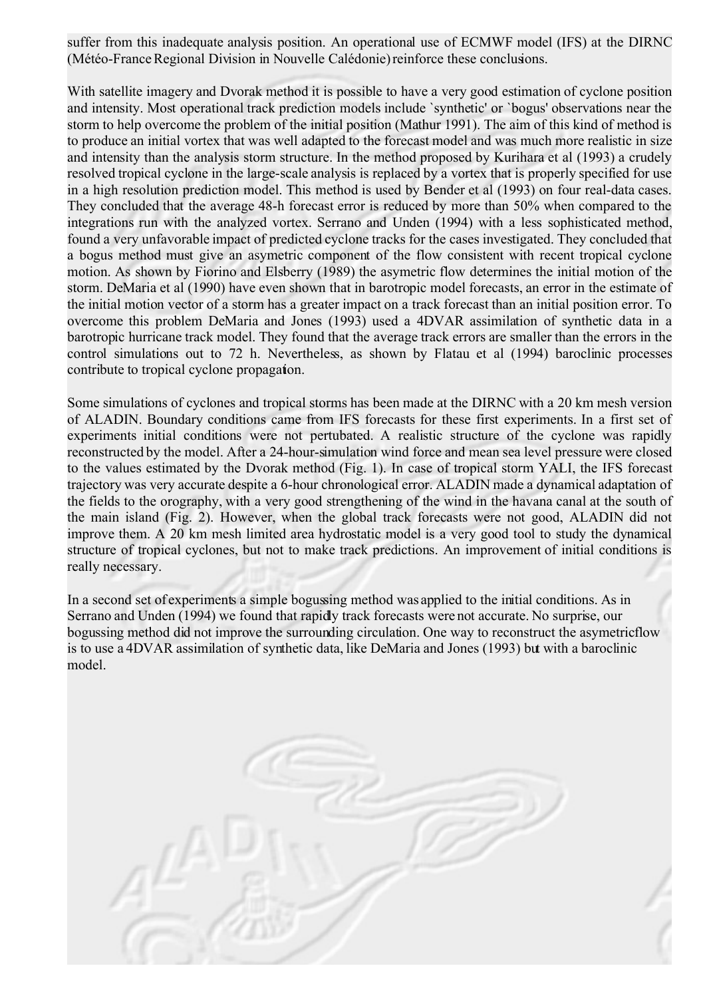suffer from this inadequate analysis position. An operational use of ECMWF model (IFS) at the DIRNC (Météo-France Regional Division in Nouvelle Calédonie) reinforce these conclusions.

With satellite imagery and Dvorak method it is possible to have a very good estimation of cyclone position and intensity. Most operational track prediction models include `synthetic' or `bogus' observations near the storm to help overcome the problem of the initial position (Mathur 1991). The aim of this kind of method is to produce an initial vortex that was well adapted to the forecast model and was much more realistic in size and intensity than the analysis storm structure. In the method proposed by Kurihara et al (1993) a crudely resolved tropical cyclone in the large-scale analysis is replaced by a vortex that is properly specified for use in a high resolution prediction model. This method is used by Bender et al (1993) on four real-data cases. They concluded that the average 48-h forecast error is reduced by more than 50% when compared to the integrations run with the analyzed vortex. Serrano and Unden (1994) with a less sophisticated method, found a very unfavorable impact of predicted cyclone tracks for the cases investigated. They concluded that a bogus method must give an asymetric component of the flow consistent with recent tropical cyclone motion. As shown by Fiorino and Elsberry (1989) the asymetric flow determines the initial motion of the storm. DeMaria et al (1990) have even shown that in barotropic model forecasts, an error in the estimate of the initial motion vector of a storm has a greater impact on a track forecast than an initial position error. To overcome this problem DeMaria and Jones (1993) used a 4DVAR assimilation of synthetic data in a barotropic hurricane track model. They found that the average track errors are smaller than the errors in the control simulations out to 72 h. Nevertheless, as shown by Flatau et al (1994) baroclinic processes contribute to tropical cyclone propagation.

Some simulations of cyclones and tropical storms has been made at the DIRNC with a 20 km mesh version of ALADIN. Boundary conditions came from IFS forecasts for these first experiments. In a first set of experiments initial conditions were not pertubated. A realistic structure of the cyclone was rapidly reconstructed by the model. After a 24-hour-simulation wind force and mean sea level pressure were closed to the values estimated by the Dvorak method (Fig. 1). In case of tropical storm YALI, the IFS forecast trajectory was very accurate despite a 6-hour chronological error. ALADIN made a dynamical adaptation of the fields to the orography, with a very good strengthening of the wind in the havana canal at the south of the main island (Fig. 2). However, when the global track forecasts were not good, ALADIN did not improve them. A 20 km mesh limited area hydrostatic model is a very good tool to study the dynamical structure of tropical cyclones, but not to make track predictions. An improvement of initial conditions is really necessary.

In a second set of experiments a simple bogussing method was applied to the initial conditions. As in Serrano and Unden (1994) we found that rapidly track forecasts were not accurate. No surprise, our bogussing method did not improve the surrounding circulation. One way to reconstruct the asymetric flow is to use a 4DVAR assimilation of synthetic data, like DeMaria and Jones (1993) but with a baroclinic model.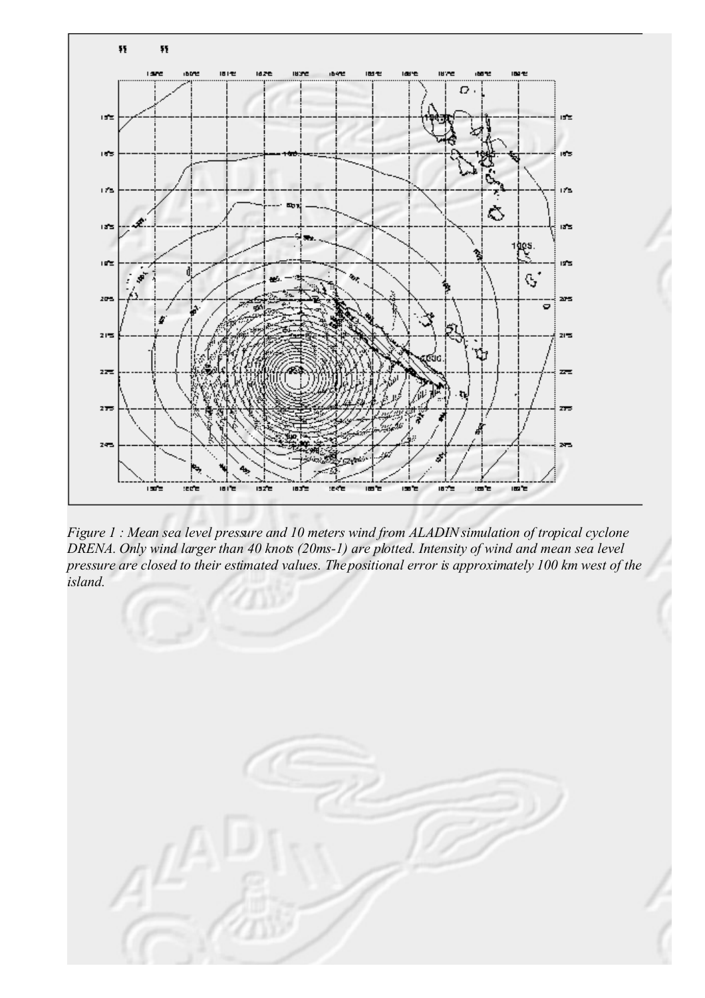

*Figure 1 : Mean sea level pressure and 10 meters wind from ALADIN simulation of tropical cyclone DRENA. Only wind larger than 40 knots (20ms-1) are plotted. Intensity of wind and mean sea level pressure are closed to their estimated values. The positional error is approximately 100 km west of the island.* 

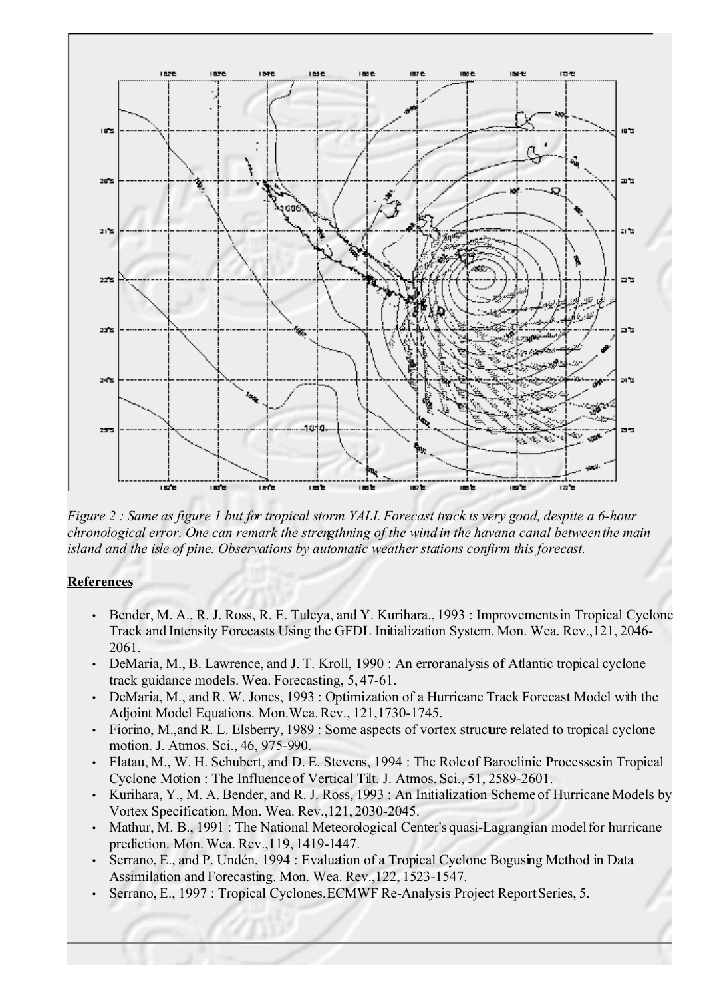

*Figure 2 : Same as figure 1 but for tropical storm YALI. Forecast track is very good, despite a 6-hour chronological error. One can remark the strengthning of the wind in the havana canal between the main island and the isle of pine. Observations by automatic weather stations confirm this forecast.*

#### **References**

- Bender, M. A., R. J. Ross, R. E. Tuleya, and Y. Kurihara., 1993 : Improvements in Tropical Cyclone Track and Intensity Forecasts Using the GFDL Initialization System. Mon. Wea. Rev.,121, 2046- 2061.
- DeMaria, M., B. Lawrence, and J. T. Kroll, 1990 : An error analysis of Atlantic tropical cyclone track guidance models. Wea. Forecasting, 5, 47-61.
- DeMaria, M., and R. W. Jones, 1993 : Optimization of a Hurricane Track Forecast Model with the Adjoint Model Equations. Mon.Wea. Rev., 121,1730-1745.
- Fiorino, M.,and R. L. Elsberry, 1989 : Some aspects of vortex structure related to tropical cyclone motion. J. Atmos. Sci., 46, 975-990.
- Flatau, M., W. H. Schubert, and D. E. Stevens, 1994 : The Role of Baroclinic Processes in Tropical Cyclone Motion : The Influence of Vertical Tilt. J. Atmos. Sci., 51, 2589-2601.
- Kurihara, Y., M. A. Bender, and R. J. Ross, 1993 : An Initialization Scheme of Hurricane Models by Vortex Specification. Mon. Wea. Rev.,121, 2030-2045.
- Mathur, M. B., 1991 : The National Meteorological Center's quasi-Lagrangian model for hurricane prediction. Mon. Wea. Rev.,119, 1419-1447.
- Serrano, E., and P. Undén, 1994 : Evaluation of a Tropical Cyclone Bogusing Method in Data Assimilation and Forecasting. Mon. Wea. Rev.,122, 1523-1547.
- Serrano, E., 1997 : Tropical Cyclones. ECMWF Re-Analysis Project Report Series, 5.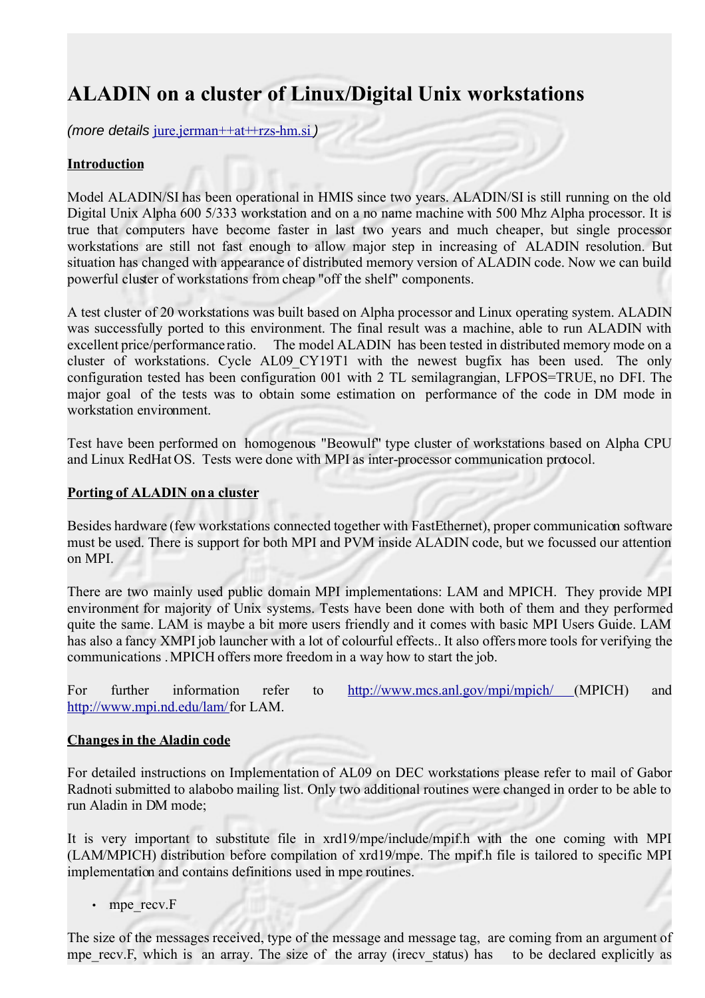# **ALADIN on a cluster of Linux/Digital Unix workstations**

(more details [jure.jerman++at++rzs-hm.si](mailto:jure.jerman++at++rzs-hm.si))

#### **Introduction**

Model ALADIN/SI has been operational in HMIS since two years. ALADIN/SI is still running on the old Digital Unix Alpha 600 5/333 workstation and on a no name machine with 500 Mhz Alpha processor. It is true that computers have become faster in last two years and much cheaper, but single processor workstations are still not fast enough to allow major step in increasing of ALADIN resolution. But situation has changed with appearance of distributed memory version of ALADIN code. Now we can build powerful cluster of workstations from cheap "off the shelf" components.

A test cluster of 20 workstations was built based on Alpha processor and Linux operating system. ALADIN was successfully ported to this environment. The final result was a machine, able to run ALADIN with excellent price/performance ratio. The model ALADIN has been tested in distributed memory mode on a cluster of workstations. Cycle AL09\_CY19T1 with the newest bugfix has been used. The only configuration tested has been configuration 001 with 2 TL semilagrangian, LFPOS=TRUE, no DFI. The major goal of the tests was to obtain some estimation on performance of the code in DM mode in workstation environment.

Test have been performed on homogenous "Beowulf" type cluster of workstations based on Alpha CPU and Linux RedHat OS. Tests were done with MPI as inter-processor communication protocol.

#### **Porting of ALADIN on a cluster**

Besides hardware (few workstations connected together with FastEthernet), proper communication software must be used. There is support for both MPI and PVM inside ALADIN code, but we focussed our attention on MPI.

There are two mainly used public domain MPI implementations: LAM and MPICH. They provide MPI environment for majority of Unix systems. Tests have been done with both of them and they performed quite the same. LAM is maybe a bit more users friendly and it comes with basic MPI Users Guide. LAM has also a fancy XMPI job launcher with a lot of colourful effects.. It also offers more tools for verifying the communications . MPICH offers more freedom in a way how to start the job.

For further information refer to <http://www.mcs.anl.gov/mpi/mpich/> (MPICH) and [http://www.mpi.nd.edu/lam/ f](http://www.mpi.nd.edu/lam/)or LAM.

#### **Changes in the Aladin code**

For detailed instructions on Implementation of AL09 on DEC workstations please refer to mail of Gabor Radnoti submitted to alabobo mailing list. Only two additional routines were changed in order to be able to run Aladin in DM mode;

It is very important to substitute file in xrd19/mpe/include/mpif.h with the one coming with MPI (LAM/MPICH) distribution before compilation of xrd19/mpe. The mpif.h file is tailored to specific MPI implementation and contains definitions used in mpe routines.

• mpe\_recv.F

The size of the messages received, type of the message and message tag, are coming from an argument of mpe recv.F, which is an array. The size of the array (irecv status) has to be declared explicitly as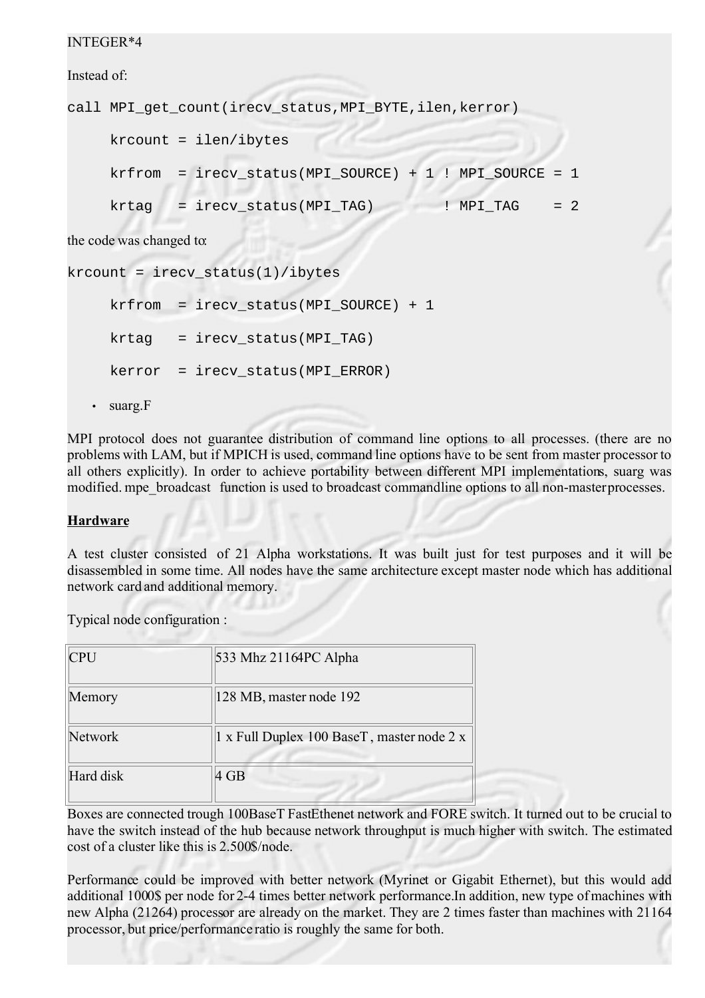#### INTEGER\*4

Instead of:

```
call MPI_get_count(irecv_status,MPI_BYTE,ilen,kerror) 
    krcount = ilen/ibytes 
    krfrom = irecv_status(MPI_SOURCE) + 1 ! MPI_SOURCE = 1
    krtaq = irecv status(MPI TAG) ! MPI TAG = 2
the code was changed to:
```
 $k$ rcount =  $i$ recv\_status(1)/ $i$ bytes  $krfrom = irecv status(MPISOURCE) + 1$  $krtaq = irecv status(MPI TAG)$  $kerror = irecv status(MPI ERROR)$ • suarg.F

MPI protocol does not guarantee distribution of command line options to all processes. (there are no problems with LAM, but if MPICH is used, command line options have to be sent from master processor to all others explicitly). In order to achieve portability between different MPI implementations, suarg was modified. mpe\_broadcast function is used to broadcast commandline options to all non-master processes.

#### **Hardware**

A test cluster consisted of 21 Alpha workstations. It was built just for test purposes and it will be disassembled in some time. All nodes have the same architecture except master node which has additional network card and additional memory.

Typical node configuration :

| <b>CPU</b> | 533 Mhz 21164PC Alpha                      |
|------------|--------------------------------------------|
| Memory     | 128 MB, master node 192                    |
| Network    | 1 x Full Duplex 100 BaseT, master node 2 x |
| Hard disk  | 4 GB                                       |

Boxes are connected trough 100BaseT FastEthenet network and FORE switch. It turned out to be crucial to have the switch instead of the hub because network throughput is much higher with switch. The estimated cost of a cluster like this is 2.500\$/node.

Performance could be improved with better network (Myrinet or Gigabit Ethernet), but this would add additional 1000\$ per node for 2-4 times better network performance. In addition, new type of machines with new Alpha (21264) processor are already on the market. They are 2 times faster than machines with 21164 processor, but price/performance ratio is roughly the same for both.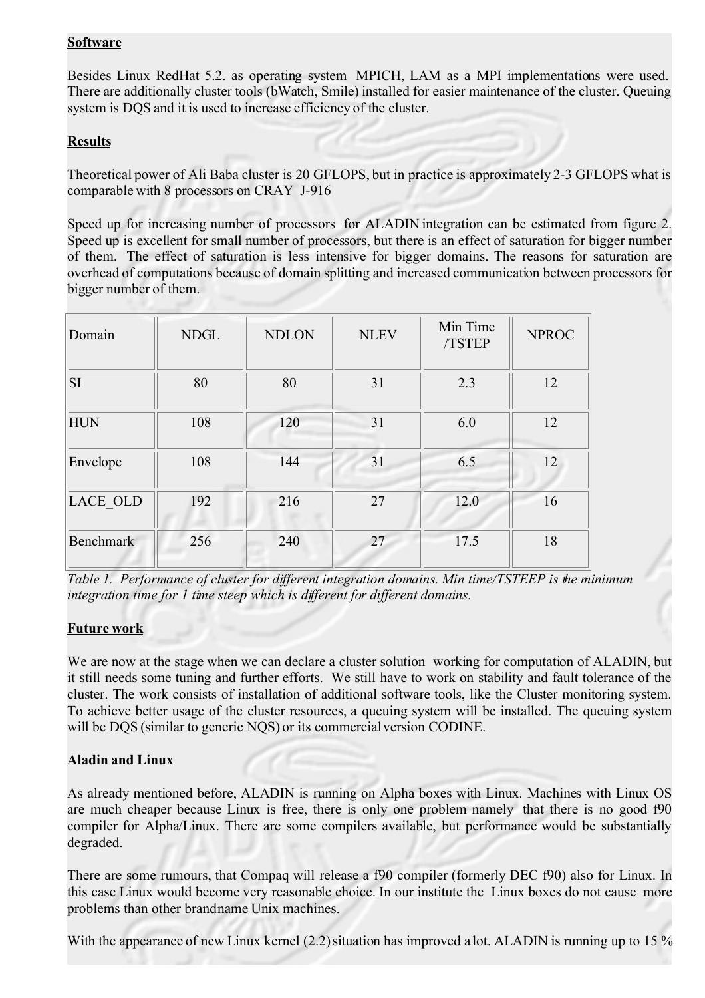#### **Software**

Besides Linux RedHat 5.2. as operating system MPICH, LAM as a MPI implementations were used. There are additionally cluster tools (bWatch, Smile) installed for easier maintenance of the cluster. Queuing system is DQS and it is used to increase efficiency of the cluster.

#### **Results**

Theoretical power of Ali Baba cluster is 20 GFLOPS, but in practice is approximately 2-3 GFLOPS what is comparable with 8 processors on CRAY J-916

Speed up for increasing number of processors for ALADIN integration can be estimated from figure 2. Speed up is excellent for small number of processors, but there is an effect of saturation for bigger number of them. The effect of saturation is less intensive for bigger domains. The reasons for saturation are overhead of computations because of domain splitting and increased communication between processors for bigger number of them.

| Domain           | <b>NDGL</b> | <b>NDLON</b> | <b>NLEV</b> | Min Time<br>/TSTEP | <b>NPROC</b> |
|------------------|-------------|--------------|-------------|--------------------|--------------|
| <b>SI</b>        | 80          | 80           | 31          | 2.3                | 12           |
| <b>HUN</b>       | 108         | 120          | 31          | 6.0                | 12           |
| Envelope         | 108         | 144          | 31          | 6.5                | 12           |
| <b>LACE OLD</b>  | 192         | 216          | 27          | 12.0               | 16           |
| <b>Benchmark</b> | 256         | 240          | 27          | 17.5               | 18           |

*Table 1. Performance of cluster for different integration domains. Min time/TSTEEP is the minimum integration time for 1 time steep which is different for different domains.*

#### **Future work**

We are now at the stage when we can declare a cluster solution working for computation of ALADIN, but it still needs some tuning and further efforts. We still have to work on stability and fault tolerance of the cluster. The work consists of installation of additional software tools, like the Cluster monitoring system. To achieve better usage of the cluster resources, a queuing system will be installed. The queuing system will be DQS (similar to generic NQS) or its commercial version CODINE.

#### **Aladin and Linux**

As already mentioned before, ALADIN is running on Alpha boxes with Linux. Machines with Linux OS are much cheaper because Linux is free, there is only one problem namely that there is no good f90 compiler for Alpha/Linux. There are some compilers available, but performance would be substantially degraded.

There are some rumours, that Compaq will release a f90 compiler (formerly DEC f90) also for Linux. In this case Linux would become very reasonable choice. In our institute the Linux boxes do not cause more problems than other brand name Unix machines.

With the appearance of new Linux kernel (2.2) situation has improved a lot. ALADIN is running up to 15 %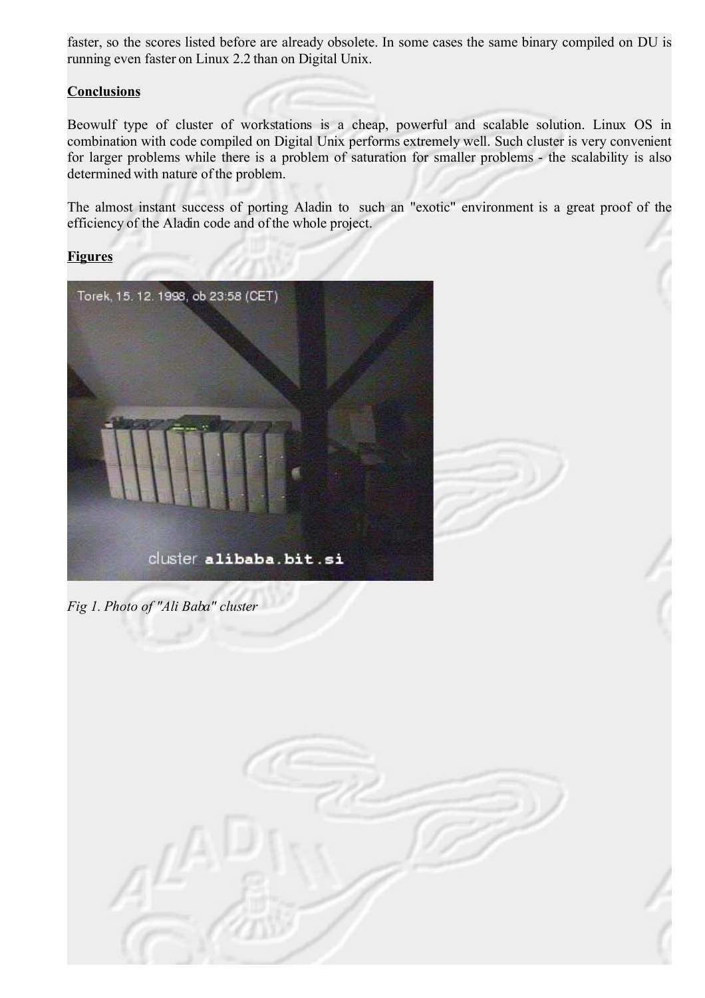faster, so the scores listed before are already obsolete. In some cases the same binary compiled on DU is running even faster on Linux 2.2 than on Digital Unix.

#### **Conclusions**

Beowulf type of cluster of workstations is a cheap, powerful and scalable solution. Linux OS in combination with code compiled on Digital Unix performs extremely well. Such cluster is very convenient for larger problems while there is a problem of saturation for smaller problems - the scalability is also determined with nature of the problem.

The almost instant success of porting Aladin to such an "exotic" environment is a great proof of the efficiency of the Aladin code and of the whole project.

#### **Figures**



*Fig 1. Photo of "Ali Baba" cluster*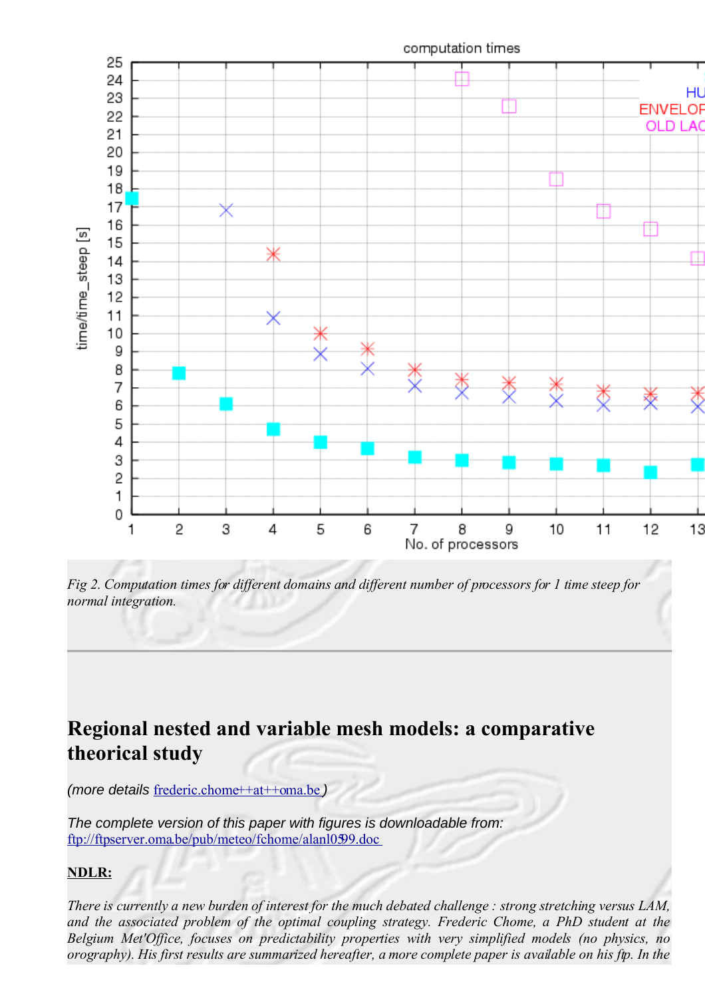

*Fig 2. Computation times for different domains and different number of processors for 1 time steep for normal integration.*

# **Regional nested and variable mesh models: a comparative theorical study**

(more details [frederic.chome++at++oma.be](mailto:frederic.chome++at++oma.be) )

The complete version of this paper with figures is downloadable from: <ftp://ftpserver.oma.be/pub/meteo/fchome/alanl0599.doc>

#### **NDLR:**

There is currently a new burden of interest for the much debated challenge : strong stretching versus  $LAM$ , *and the associated problem of the optimal coupling strategy. Frederic Chome, a PhD student at the Belgium Met'Office, focuses on predictability properties with very simplified models (no physics, no orography). His first results are summarized hereafter, a more complete paper is available on his ftp. In the*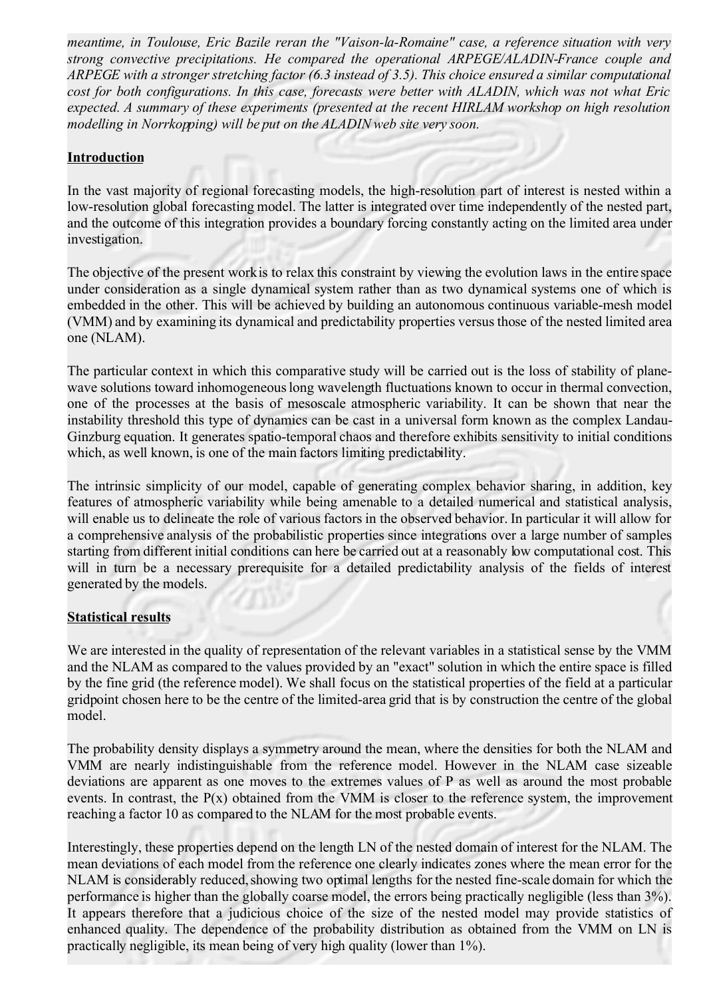*meantime, in Toulouse, Eric Bazile reran the "Vaison-la-Romaine" case, a reference situation with very strong convective precipitations. He compared the operational ARPEGE/ALADIN-France couple and ARPEGE with a stronger stretching factor (6.3 instead of 3.5). This choice ensured a similar computational cost for both configurations. In this case, forecasts were better with ALADIN, which was not what Eric expected. A summary of these experiments (presented at the recent HIRLAM workshop on high resolution modelling in Norrkopping) will be put on the ALADIN web site very soon.*

#### **Introduction**

In the vast majority of regional forecasting models, the high-resolution part of interest is nested within a low-resolution global forecasting model. The latter is integrated over time independently of the nested part, and the outcome of this integration provides a boundary forcing constantly acting on the limited area under investigation.

The objective of the present work is to relax this constraint by viewing the evolution laws in the entire space under consideration as a single dynamical system rather than as two dynamical systems one of which is embedded in the other. This will be achieved by building an autonomous continuous variable-mesh model (VMM) and by examining its dynamical and predictability properties versus those of the nested limited area one (NLAM).

The particular context in which this comparative study will be carried out is the loss of stability of planewave solutions toward inhomogeneous long wavelength fluctuations known to occur in thermal convection, one of the processes at the basis of mesoscale atmospheric variability. It can be shown that near the instability threshold this type of dynamics can be cast in a universal form known as the complex Landau-Ginzburg equation. It generates spatio-temporal chaos and therefore exhibits sensitivity to initial conditions which, as well known, is one of the main factors limiting predictability.

The intrinsic simplicity of our model, capable of generating complex behavior sharing, in addition, key features of atmospheric variability while being amenable to a detailed numerical and statistical analysis, will enable us to delineate the role of various factors in the observed behavior. In particular it will allow for a comprehensive analysis of the probabilistic properties since integrations over a large number of samples starting from different initial conditions can here be carried out at a reasonably low computational cost. This will in turn be a necessary prerequisite for a detailed predictability analysis of the fields of interest generated by the models.

#### **Statistical results**

We are interested in the quality of representation of the relevant variables in a statistical sense by the VMM and the NLAM as compared to the values provided by an "exact" solution in which the entire space is filled by the fine grid (the reference model). We shall focus on the statistical properties of the field at a particular gridpoint chosen here to be the centre of the limited-area grid that is by construction the centre of the global model.

The probability density displays a symmetry around the mean, where the densities for both the NLAM and VMM are nearly indistinguishable from the reference model. However in the NLAM case sizeable deviations are apparent as one moves to the extremes values of P as well as around the most probable events. In contrast, the  $P(x)$  obtained from the VMM is closer to the reference system, the improvement reaching a factor 10 as compared to the NLAM for the most probable events.

Interestingly, these properties depend on the length LN of the nested domain of interest for the NLAM. The mean deviations of each model from the reference one clearly indicates zones where the mean error for the NLAM is considerably reduced, showing two optimal lengths for the nested fine-scale domain for which the performance is higher than the globally coarse model, the errors being practically negligible (less than 3%). It appears therefore that a judicious choice of the size of the nested model may provide statistics of enhanced quality. The dependence of the probability distribution as obtained from the VMM on LN is practically negligible, its mean being of very high quality (lower than 1%).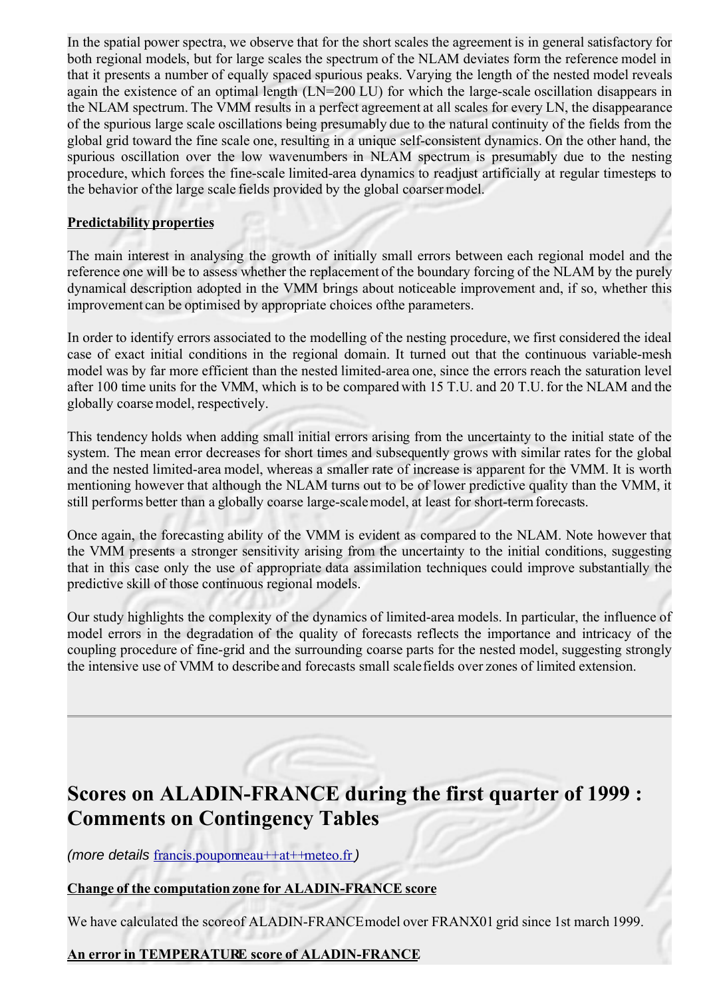In the spatial power spectra, we observe that for the short scales the agreement is in general satisfactory for both regional models, but for large scales the spectrum of the NLAM deviates form the reference model in that it presents a number of equally spaced spurious peaks. Varying the length of the nested model reveals again the existence of an optimal length (LN=200 LU) for which the large-scale oscillation disappears in the NLAM spectrum. The VMM results in a perfect agreement at all scales for every LN, the disappearance of the spurious large scale oscillations being presumably due to the natural continuity of the fields from the global grid toward the fine scale one, resulting in a unique self-consistent dynamics. On the other hand, the spurious oscillation over the low wavenumbers in NLAM spectrum is presumably due to the nesting procedure, which forces the fine-scale limited-area dynamics to readjust artificially at regular timesteps to the behavior of the large scale fields provided by the global coarser model.

#### **Predictability properties**

The main interest in analysing the growth of initially small errors between each regional model and the reference one will be to assess whether the replacement of the boundary forcing of the NLAM by the purely dynamical description adopted in the VMM brings about noticeable improvement and, if so, whether this improvement can be optimised by appropriate choices of the parameters.

In order to identify errors associated to the modelling of the nesting procedure, we first considered the ideal case of exact initial conditions in the regional domain. It turned out that the continuous variable-mesh model was by far more efficient than the nested limited-area one, since the errors reach the saturation level after 100 time units for the VMM, which is to be compared with 15 T.U. and 20 T.U. for the NLAM and the globally coarse model, respectively.

This tendency holds when adding small initial errors arising from the uncertainty to the initial state of the system. The mean error decreases for short times and subsequently grows with similar rates for the global and the nested limited-area model, whereas a smaller rate of increase is apparent for the VMM. It is worth mentioning however that although the NLAM turns out to be of lower predictive quality than the VMM, it still performs better than a globally coarse large-scale model, at least for short-term forecasts.

Once again, the forecasting ability of the VMM is evident as compared to the NLAM. Note however that the VMM presents a stronger sensitivity arising from the uncertainty to the initial conditions, suggesting that in this case only the use of appropriate data assimilation techniques could improve substantially the predictive skill of those continuous regional models.

Our study highlights the complexity of the dynamics of limited-area models. In particular, the influence of model errors in the degradation of the quality of forecasts reflects the importance and intricacy of the coupling procedure of fine-grid and the surrounding coarse parts for the nested model, suggesting strongly the intensive use of VMM to describe and forecasts small scale fields over zones of limited extension.

# **Scores on ALADIN-FRANCE during the first quarter of 1999 : Comments on Contingency Tables**

(more details [francis.pouponneau++at++meteo.fr](mailto:francis.pouponneau++at++meteo.fr))

#### **Change of the computation zone for ALADIN-FRANCE score**

We have calculated the score of ALADIN-FRANCE model over FRANX01 grid since 1st march 1999.

#### **An error in TEMPERATURE score of ALADIN-FRANCE**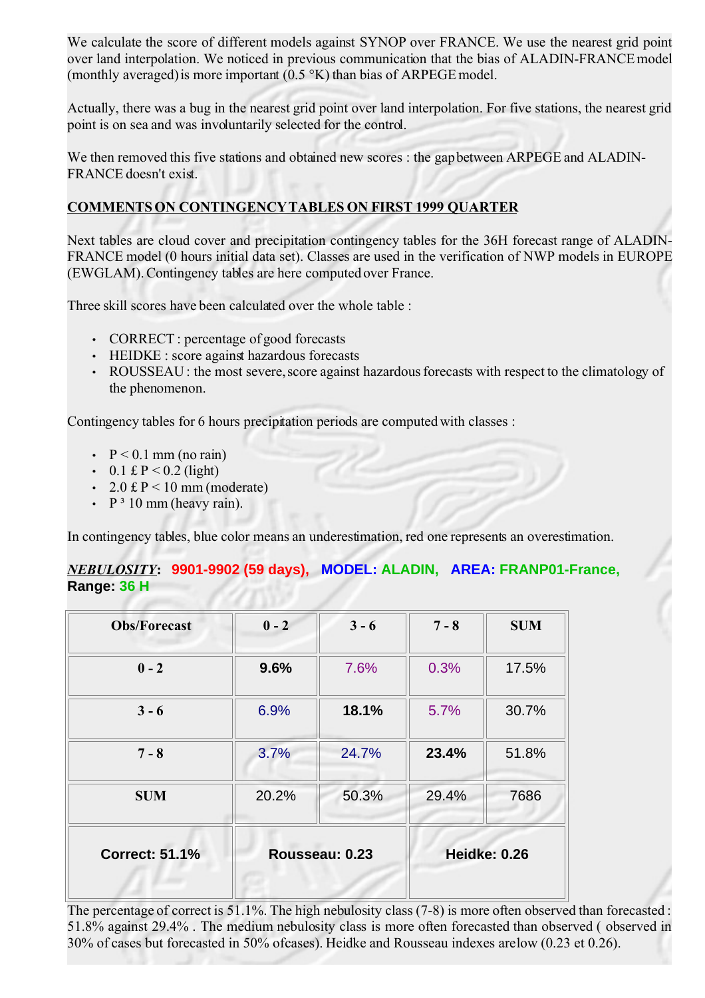We calculate the score of different models against SYNOP over FRANCE. We use the nearest grid point over land interpolation. We noticed in previous communication that the bias of ALADIN-FRANCEmodel (monthly averaged) is more important (0.5 °K) than bias of ARPEGE model.

Actually, there was a bug in the nearest grid point over land interpolation. For five stations, the nearest grid point is on sea and was involuntarily selected for the control.

We then removed this five stations and obtained new scores : the gap between ARPEGE and ALADIN-FRANCE doesn't exist.

#### **COMMENTS ON CONTINGENCYTABLES ON FIRST 1999 QUARTER**

Next tables are cloud cover and precipitation contingency tables for the 36H forecast range of ALADIN-FRANCE model (0 hours initial data set). Classes are used in the verification of NWP models in EUROPE (EWGLAM). Contingency tables are here computed over France.

Three skill scores have been calculated over the whole table :

- CORRECT : percentage of good forecasts
- HEIDKE : score against hazardous forecasts
- ROUSSEAU: the most severe, score against hazardous forecasts with respect to the climatology of the phenomenon.

Contingency tables for 6 hours precipitation periods are computed with classes :

- $P < 0.1$  mm (no rain)
- 0.1 £ P < 0.2 (light)
- 2.0 £ P < 10 mm (moderate)
- $P^3$  10 mm (heavy rain).

In contingency tables, blue color means an underestimation, red one represents an overestimation.

#### *NEBULOSITY***: 9901-9902 (59 days), MODEL: ALADIN, AREA: FRANP01-France, Range: 36 H**

| <b>Obs/Forecast</b>   | $0 - 2$        | $3 - 6$ | $7 - 8$ | <b>SUM</b>          |
|-----------------------|----------------|---------|---------|---------------------|
| $0 - 2$               | 9.6%           | 7.6%    | 0.3%    | 17.5%               |
| $3 - 6$               | 6.9%           | 18.1%   | 5.7%    | 30.7%               |
| $7 - 8$               | 3.7%           | 24.7%   | 23.4%   | 51.8%               |
| <b>SUM</b>            | 20.2%          | 50.3%   | 29.4%   | 7686                |
| <b>Correct: 51.1%</b> | Rousseau: 0.23 |         |         | <b>Heidke: 0.26</b> |

The percentage of correct is 51.1%. The high nebulosity class (7-8) is more often observed than forecasted : 51.8% against 29.4% . The medium nebulosity class is more often forecasted than observed ( observed in 30% of cases but forecasted in 50% of cases). Heidke and Rousseau indexes are low (0.23 et 0.26).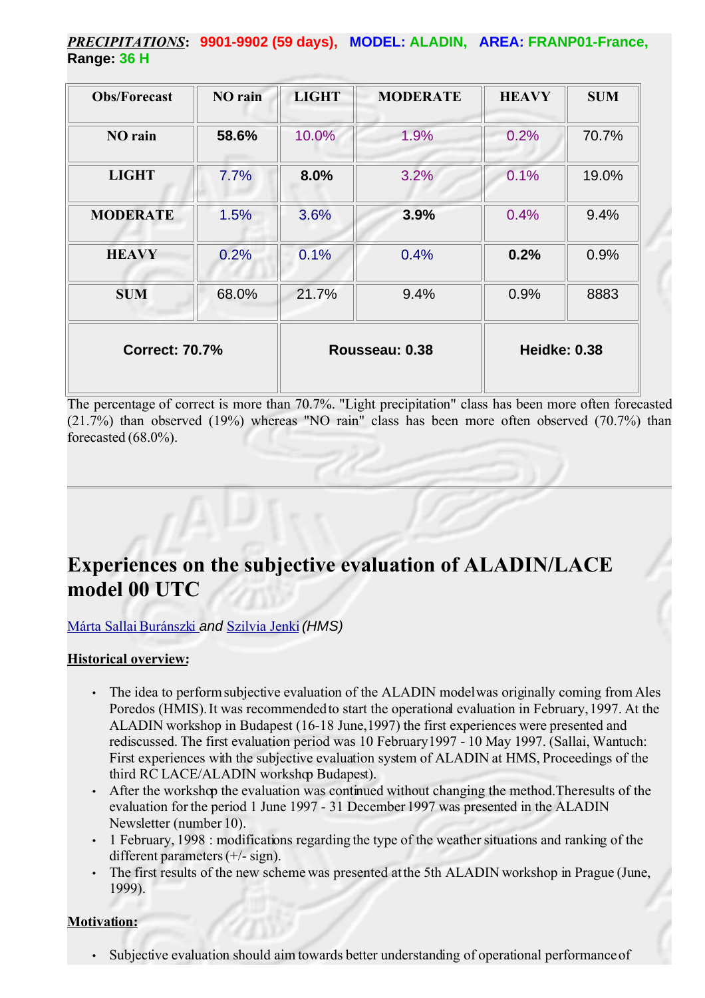*PRECIPITATIONS***: 9901-9902 (59 days), MODEL: ALADIN, AREA: FRANP01-France, Range: 36 H**

| <b>Obs/Forecast</b>   | NO rain | <b>LIGHT</b> | <b>MODERATE</b> | <b>HEAVY</b>        | <b>SUM</b> |
|-----------------------|---------|--------------|-----------------|---------------------|------------|
| NO rain               | 58.6%   | 10.0%        | 1.9%            | 0.2%                | 70.7%      |
| <b>LIGHT</b>          | 7.7%    | 8.0%         | 3.2%            | 0.1%                | 19.0%      |
| <b>MODERATE</b>       | 1.5%    | 3.6%         | 3.9%            | 0.4%                | 9.4%       |
| <b>HEAVY</b>          | 0.2%    | 0.1%         | 0.4%            | 0.2%                | 0.9%       |
| <b>SUM</b>            | 68.0%   | 21.7%        | 9.4%            | 0.9%                | 8883       |
| <b>Correct: 70.7%</b> |         |              | Rousseau: 0.38  | <b>Heidke: 0.38</b> |            |

The percentage of correct is more than 70.7%. "Light precipitation" class has been more often forecasted (21.7%) than observed (19%) whereas "NO rain" class has been more often observed (70.7%) than forecasted (68.0%).

## **Experiences on the subjective evaluation of ALADIN/LACE model 00 UTC**

[Márta Sallai Buránszki](mailto:sallai++at++met.hu) and [Szilvia Jenki](mailto:jenki++at++met.hu) (HMS)

#### **Historical overview:**

- The idea to perform subjective evaluation of the ALADIN model was originally coming from Ales Poredos (HMIS). It was recommendedto start the operational evaluation in February, 1997. At the ALADIN workshop in Budapest (16-18 June, 1997) the first experiences were presented and rediscussed. The first evaluation period was 10 February 1997 - 10 May 1997. (Sallai, Wantuch: First experiences with the subjective evaluation system of ALADIN at HMS, Proceedings of the third RC LACE/ALADIN workshop Budapest).
- After the workshop the evaluation was continued without changing the method. The results of the evaluation for the period 1 June 1997 - 31 December 1997 was presented in the ALADIN Newsletter (number 10).
- 1 February, 1998 : modifications regarding the type of the weather situations and ranking of the different parameters (+/- sign).
- The first results of the new scheme was presented at the 5th ALADIN workshop in Prague (June, 1999).

#### **Motivation:**

Subjective evaluation should aim towards better understanding of operational performance of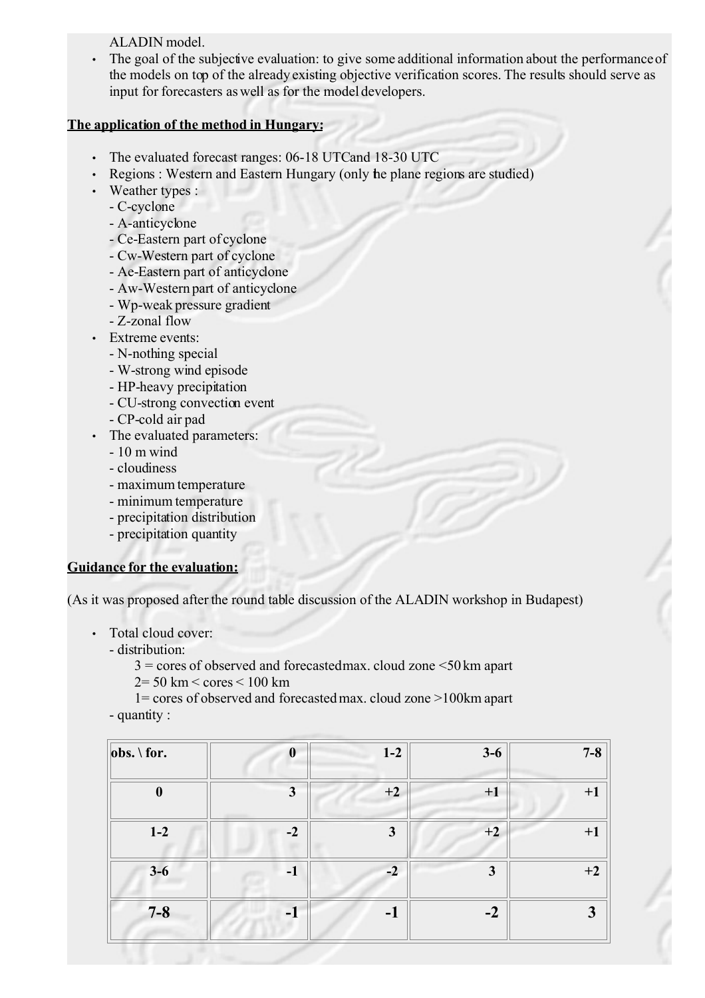ALADIN model.

• The goal of the subjective evaluation: to give some additional information about the performance of the models on top of the already existing objective verification scores. The results should serve as input for forecasters as well as for the model developers.

#### **The application of the method in Hungary:**

- The evaluated forecast ranges: 06-18 UTC and 18-30 UTC
- Regions : Western and Eastern Hungary (only the plane regions are studied)
- Weather types :
	- C-cyclone
	- A-anticyclone
	- Ce-Eastern part of cyclone
	- Cw-Western part of cyclone
	- Ae-Eastern part of anticyclone
	- Aw-Western part of anticyclone
	- Wp-weak pressure gradient
	- Z-zonal flow
- Extreme events:
	- N-nothing special
	- W-strong wind episode
	- HP-heavy precipitation
	- CU-strong convection event
	- CP-cold air pad
- The evaluated parameters:
	- 10 m wind
	- cloudiness
	- maximum temperature
	- minimum temperature
	- precipitation distribution
	- precipitation quantity

#### **Guidance for the evaluation:**

(As it was proposed after the round table discussion of the ALADIN workshop in Budapest)

- Total cloud cover:
	- distribution:
		- $3 = \text{cores of observed and forecasted}$  cloud zone  $\leq 50 \text{ km}$  apart  $2=50$  km  $\leq$  cores  $\leq 100$  km
		-

1= cores of observed and forecasted max. cloud zone >100km apart - quantity :

| $obs. \ for.$    | $\boldsymbol{0}$        | $1-2$        | $3-6$ | $7 - 8$ |
|------------------|-------------------------|--------------|-------|---------|
| $\boldsymbol{0}$ | $\overline{\mathbf{3}}$ | $+2$         | $+1$  | $+1$    |
| $1-2$            | $-2$                    | $\mathbf{3}$ | $+2$  | $+1$    |
| $3-6$            | $-1$                    | $-2$         | 3     | $+2$    |
| $7 - 8$          | $-1$                    | $-1$         | $-2$  | 3       |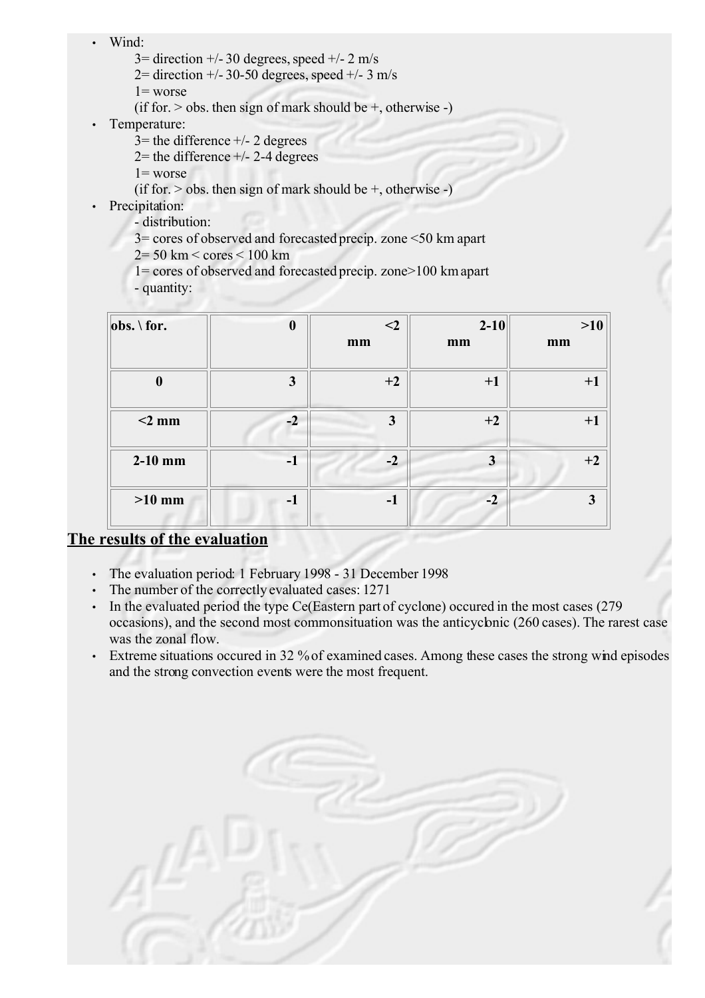- Wind:
	- $3=$  direction  $+/- 30$  degrees, speed  $+/- 2$  m/s
	- $2=$  direction  $+/- 30-50$  degrees, speed  $+/- 3$  m/s
	- $1 =$  worse
	- (if for.  $>$  obs. then sign of mark should be  $+$ , otherwise -)
- Temperature:
	- $3$ = the difference  $+/- 2$  degrees
	- $2$ = the difference  $+/- 2-4$  degrees
	- $1 =$  worse
	- (if for.  $>$  obs. then sign of mark should be  $+$ , otherwise -)
- Precipitation:
	- distribution:
	- 3= cores of observed and forecasted precip. zone <50 km apart
	- 2= 50 km < cores < 100 km
	- 1= cores of observed and forecasted precip. zone>100 km apart
	- quantity:

| $obs. \setminus for.$ | $\boldsymbol{0}$ | $<$ 2        | $2 - 10$ | $>10$        |  |
|-----------------------|------------------|--------------|----------|--------------|--|
|                       |                  | mm           | mm       | mm           |  |
| $\boldsymbol{0}$      | 3                | $+2$         | $+1$     | $+1$         |  |
| $<$ 2 mm              | $-2$             | $\mathbf{3}$ | $+2$     | $+1$         |  |
| $2-10$ mm             | $-1$             | $-2$         | 3        | $+2$         |  |
| $>10$ mm              | $-1$             | $-1$         | $-2$     | $\mathbf{3}$ |  |

## **The results of the evaluation**

- The evaluation period: 1 February 1998 31 December 1998
- The number of the correctly evaluated cases: 1271
- In the evaluated period the type Ce (Eastern part of cyclone) occured in the most cases (279) occasions), and the second most commonsituation was the anticyclonic (260 cases). The rarest case was the zonal flow.
- Extreme situations occured in 32 % of examined cases. Among these cases the strong wind episodes and the strong convection events were the most frequent.

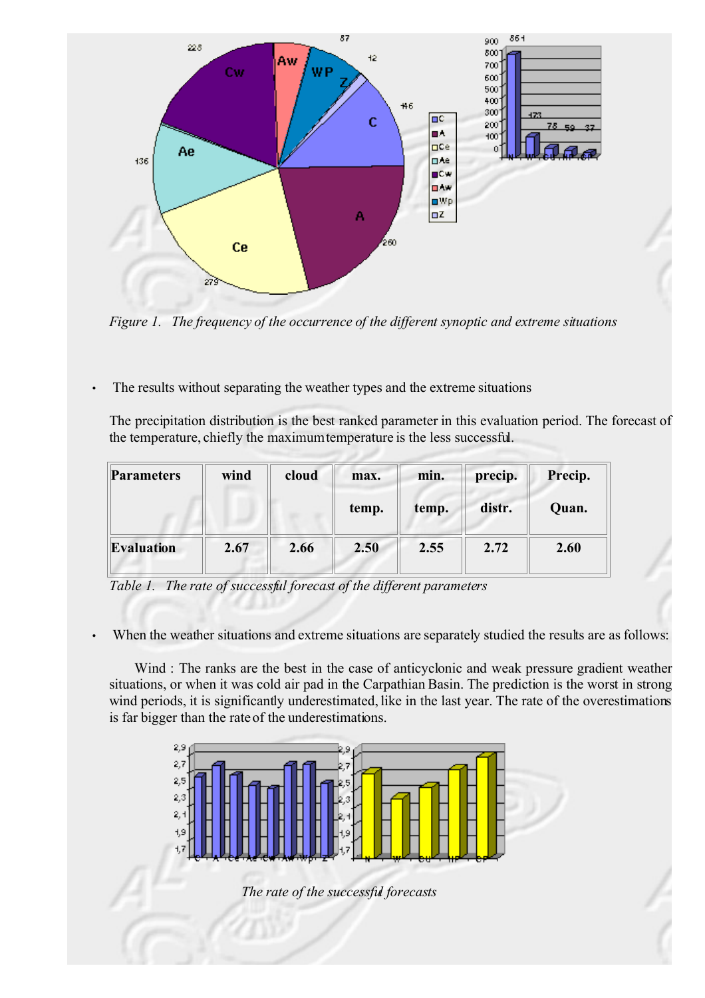

*Figure 1. The frequency of the occurrence of the different synoptic and extreme situations*

• The results without separating the weather types and the extreme situations

The precipitation distribution is the best ranked parameter in this evaluation period. The forecast of the temperature, chiefly the maximumtemperature is the less successful.

| <b>Parameters</b> | wind<br>cloud |       | max.  | min.   | precip. | Precip. |
|-------------------|---------------|-------|-------|--------|---------|---------|
|                   |               | temp. | temp. | distr. | Quan.   |         |
| <b>Evaluation</b> | 2.67          | 2.66  | 2.50  | 2.55   | 2.72    | 2.60    |



When the weather situations and extreme situations are separately studied the results are as follows:

Wind : The ranks are the best in the case of anticyclonic and weak pressure gradient weather situations, or when it was cold air pad in the Carpathian Basin. The prediction is the worst in strong wind periods, it is significantly underestimated, like in the last year. The rate of the overestimations is far bigger than the rate of the underestimations.

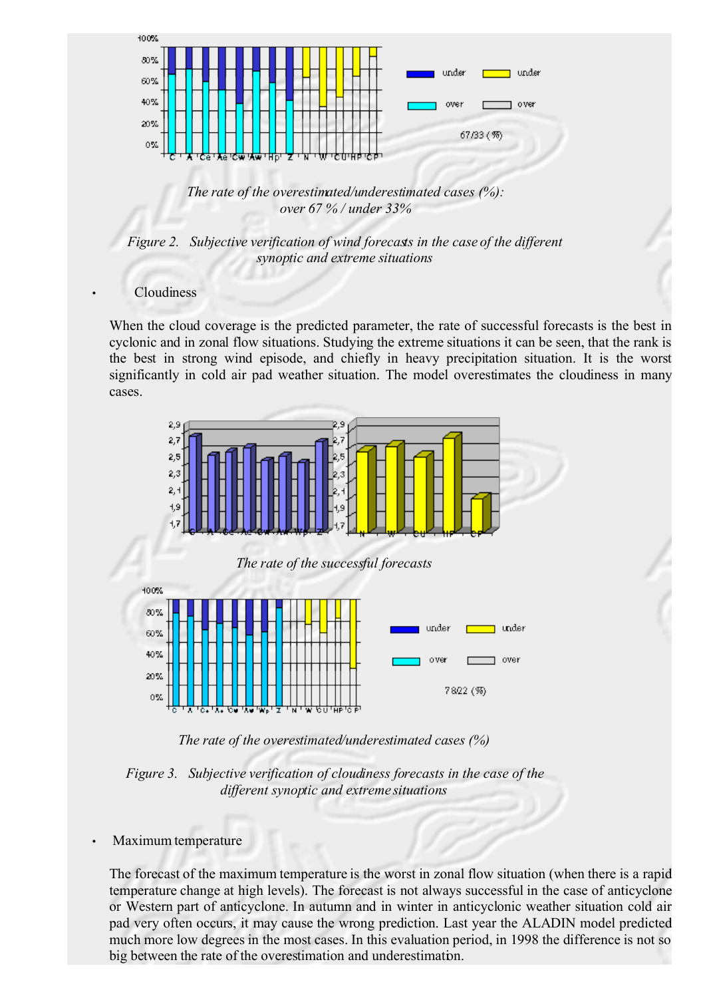

*The rate of the overestimated/underestimated cases (%): over 67 % / under 33%*

*Figure 2. Subjective verification of wind forecasts in the case of the different synoptic and extreme situations*

#### **Cloudiness**

When the cloud coverage is the predicted parameter, the rate of successful forecasts is the best in cyclonic and in zonal flow situations. Studying the extreme situations it can be seen, that the rank is the best in strong wind episode, and chiefly in heavy precipitation situation. It is the worst significantly in cold air pad weather situation. The model overestimates the cloudiness in many cases.



*The rate of the overestimated/underestimated cases (%)*

*Figure 3. Subjective verification of cloudiness forecasts in the case of the different synoptic and extreme situations*

• Maximum temperature

The forecast of the maximum temperature is the worst in zonal flow situation (when there is a rapid temperature change at high levels). The forecast is not always successful in the case of anticyclone or Western part of anticyclone. In autumn and in winter in anticyclonic weather situation cold air pad very often occurs, it may cause the wrong prediction. Last year the ALADIN model predicted much more low degrees in the most cases. In this evaluation period, in 1998 the difference is not so big between the rate of the overestimation and underestimation.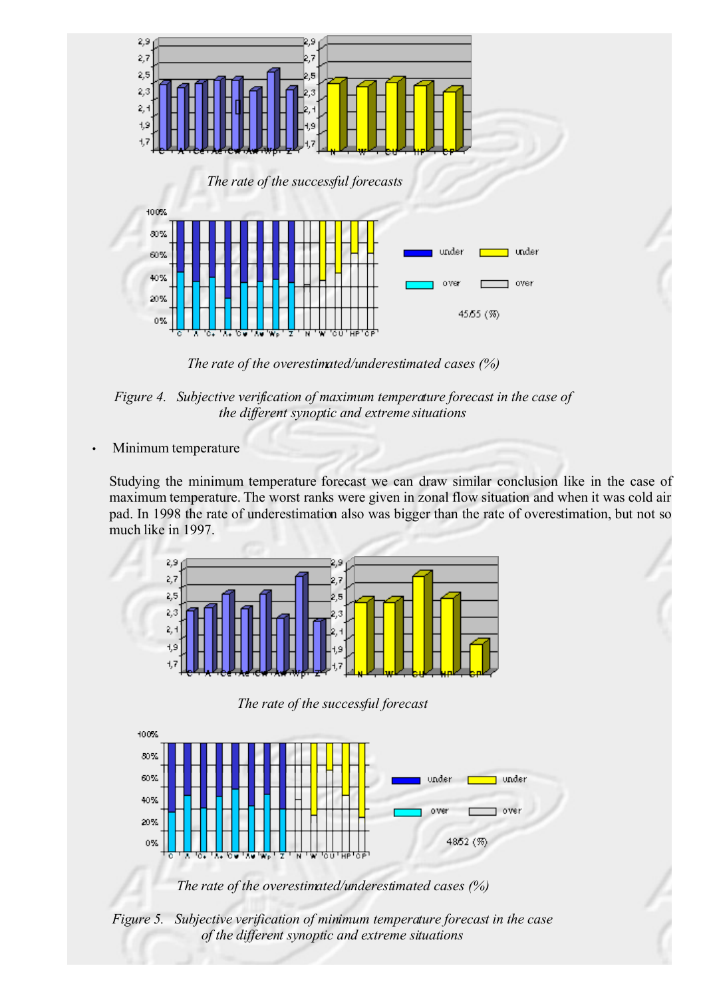

*The rate of the overestimated/underestimated cases (%)*



• Minimum temperature

Studying the minimum temperature forecast we can draw similar conclusion like in the case of maximum temperature. The worst ranks were given in zonal flow situation and when it was cold air pad. In 1998 the rate of underestimation also was bigger than the rate of overestimation, but not so much like in 1997.



*The rate of the successful forecast*



*The rate of the overestimated/underestimated cases (%)*

*Figure 5. Subjective verification of minimum temperature forecast in the case of the different synoptic and extreme situations*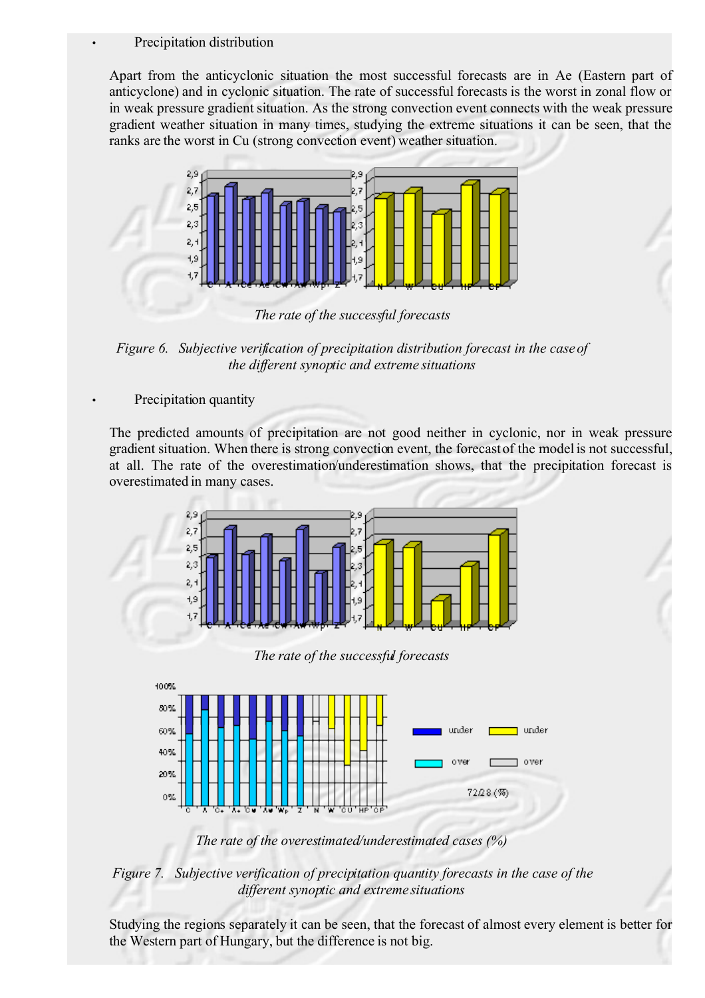#### Precipitation distribution

Apart from the anticyclonic situation the most successful forecasts are in Ae (Eastern part of anticyclone) and in cyclonic situation. The rate of successful forecasts is the worst in zonal flow or in weak pressure gradient situation. As the strong convection event connects with the weak pressure gradient weather situation in many times, studying the extreme situations it can be seen, that the ranks are the worst in Cu (strong convection event) weather situation.



*The rate of the successful forecasts*

*Figure 6. Subjective verification of precipitation distribution forecast in the case of the different synoptic and extreme situations*

Precipitation quantity

The predicted amounts of precipitation are not good neither in cyclonic, nor in weak pressure gradient situation. When there is strong convection event, the forecast of the model is not successful, at all. The rate of the overestimation/underestimation shows, that the precipitation forecast is overestimated in many cases.



*The rate of the successful forecasts*



*The rate of the overestimated/underestimated cases (%)*

*Figure 7. Subjective verification of precipitation quantity forecasts in the case of the different synoptic and extreme situations*

Studying the regions separately it can be seen, that the forecast of almost every element is better for the Western part of Hungary, but the difference is not big.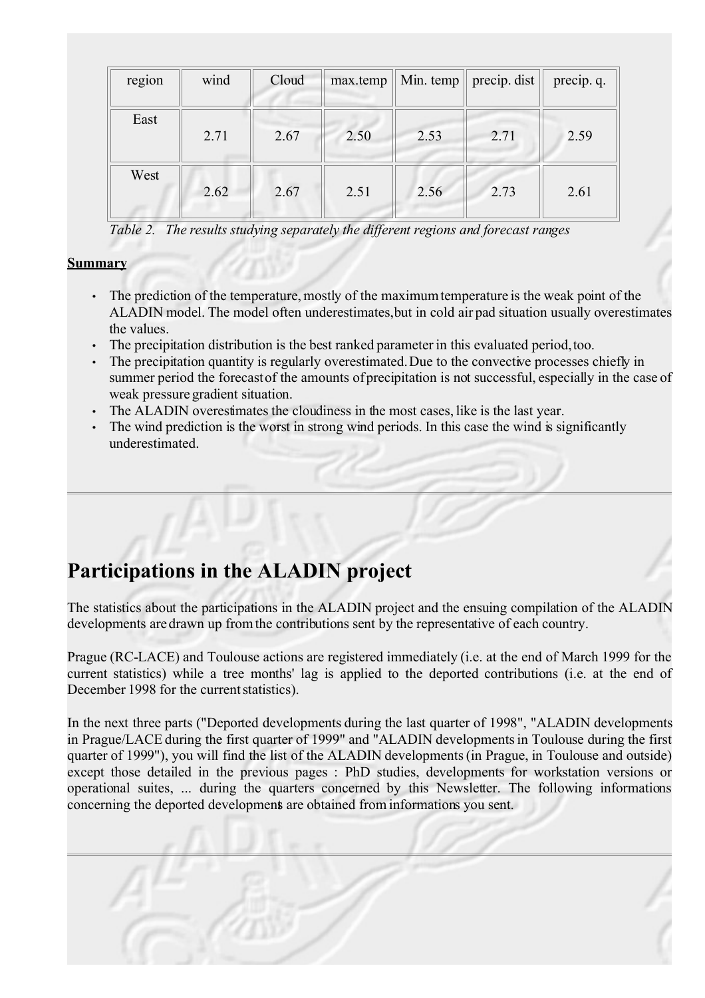| region | wind | Cloud | max.temp |      | Min. temp $\parallel$ precip. dist $\parallel$ | precip. q. |
|--------|------|-------|----------|------|------------------------------------------------|------------|
| East   | 2.71 | 2.67  | 2.50     | 2.53 | 2.71                                           | 2.59       |
| West   | 2.62 | 2.67  | 2.51     | 2.56 | 2.73                                           | 2.61       |

*Table 2. The results studying separately the different regions and forecast ranges*

#### **Summary**

- The prediction of the temperature, mostly of the maximumtemperature is the weak point of the ALADIN model. The model often underestimates, but in cold air pad situation usually overestimates the values.
- The precipitation distribution is the best ranked parameter in this evaluated period, too.
- The precipitation quantity is regularly overestimated. Due to the convective processes chiefly in summer period the forecast of the amounts of precipitation is not successful, especially in the case of weak pressure gradient situation.
- The ALADIN overestimates the cloudiness in the most cases, like is the last year.
- The wind prediction is the worst in strong wind periods. In this case the wind is significantly underestimated.

# **Participations in the ALADIN project**

The statistics about the participations in the ALADIN project and the ensuing compilation of the ALADIN developments are drawn up from the contributions sent by the representative of each country.

Prague (RC-LACE) and Toulouse actions are registered immediately (i.e. at the end of March 1999 for the current statistics) while a tree months' lag is applied to the deported contributions (i.e. at the end of December 1998 for the current statistics).

In the next three parts ("Deported developments during the last quarter of 1998", "ALADIN developments in Prague/LACE during the first quarter of 1999" and "ALADIN developmentsin Toulouse during the first quarter of 1999"), you will find the list of the ALADIN developments(in Prague, in Toulouse and outside) except those detailed in the previous pages : PhD studies, developments for workstation versions or operational suites, ... during the quarters concerned by this Newsletter. The following informations concerning the deported developments are obtained from informations you sent.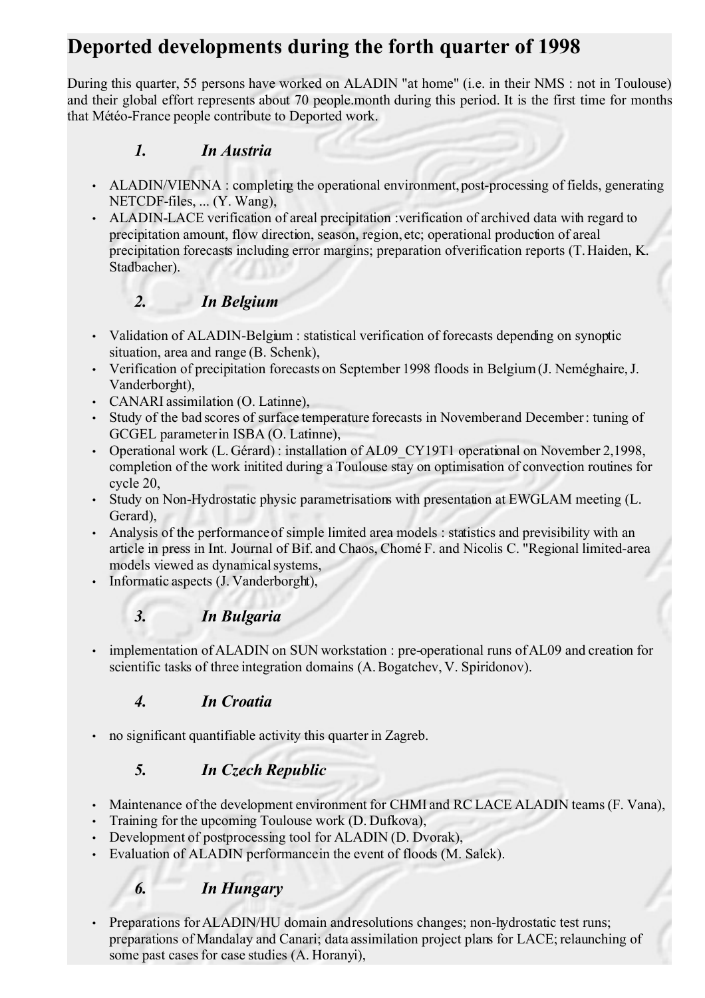# **Deported developments during the forth quarter of 1998**

During this quarter, 55 persons have worked on ALADIN "at home" (i.e. in their NMS : not in Toulouse) and their global effort represents about 70 people.month during this period. It is the first time for months that Météo-France people contribute to Deported work.

## *1. In Austria*

- ALADIN/VIENNA : completing the operational environment, post-processing of fields, generating NETCDF-files, ... (Y. Wang),
- ALADIN-LACE verification of areal precipitation :verification of archived data with regard to precipitation amount, flow direction, season, region, etc; operational production of areal precipitation forecasts including error margins; preparation of verification reports (T. Haiden, K. Stadbacher).

## *2. In Belgium*

- Validation of ALADIN-Belgium : statistical verification of forecasts depending on synoptic situation, area and range (B. Schenk),
- Verification of precipitation forecasts on September 1998 floods in Belgium (J. Neméghaire, J. Vanderborght),
- CANARI assimilation (O. Latinne),
- Study of the bad scores of surface temperature forecasts in November and December: tuning of GCGEL parameterin ISBA (O. Latinne),
- Operational work (L. Gérard): installation of AL09 CY19T1 operational on November 2,1998, completion of the work initited during a Toulouse stay on optimisation of convection routines for cycle 20,
- Study on Non-Hydrostatic physic parametrisations with presentation at EWGLAM meeting (L. Gerard),
- Analysis of the performanceof simple limited area models : statistics and previsibility with an article in press in Int. Journal of Bif. and Chaos, Chomé F. and Nicolis C. "Regional limited-area models viewed as dynamical systems,
- Informatic aspects (J. Vanderborght),

## *3. In Bulgaria*

implementation of ALADIN on SUN workstation : pre-operational runs of AL09 and creation for scientific tasks of three integration domains (A. Bogatchev, V. Spiridonov).

## *4. In Croatia*

• no significant quantifiable activity this quarter in Zagreb.

## *5. In Czech Republic*

- Maintenance of the development environment for CHMI and RC LACE ALADIN teams (F. Vana),
- Training for the upcoming Toulouse work (D. Dufkova),
- Development of postprocessing tool for ALADIN (D. Dvorak).
- Evaluation of ALADIN performancein the event of floods (M. Salek).

## *6. In Hungary*

Preparations for ALADIN/HU domain and resolutions changes; non-hydrostatic test runs; preparations of Mandalay and Canari; data assimilation project plans for LACE; relaunching of some past cases for case studies (A. Horanyi),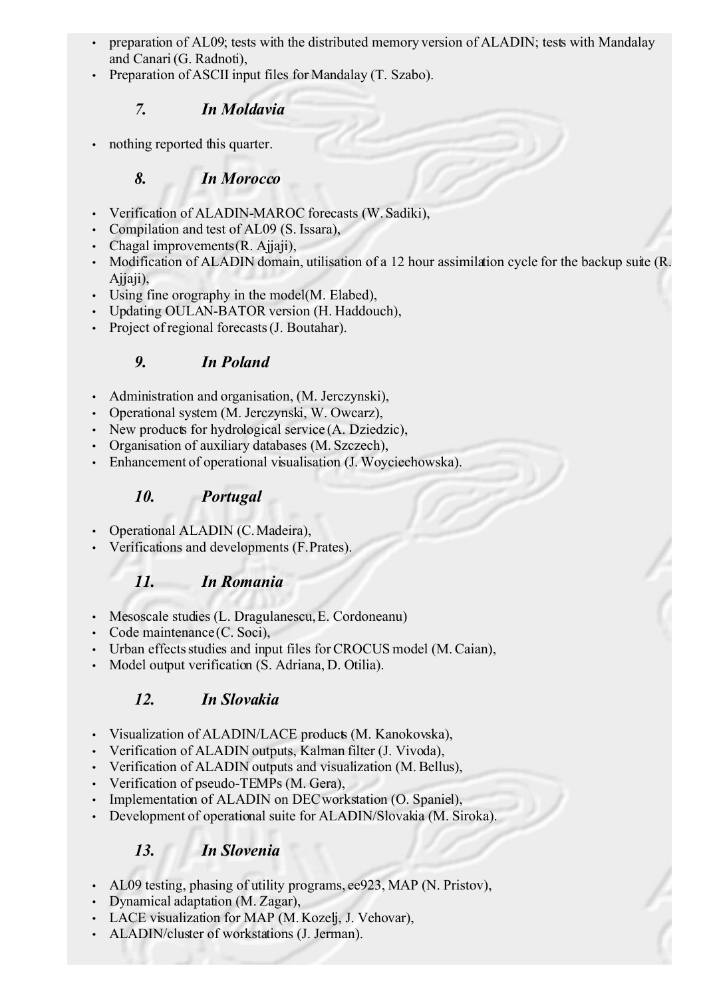- preparation of AL09; tests with the distributed memory version of ALADIN; tests with Mandalay and Canari (G. Radnoti),
- Preparation of ASCII input files for Mandalay (T. Szabo).

## *7. In Moldavia*

nothing reported this quarter.

## *8. In Morocco*

- Verification of ALADIN-MAROC forecasts (W. Sadiki),
- Compilation and test of AL09 (S. Issara),
- Chagal improvements (R. Ajjaji),
- Modification of ALADIN domain, utilisation of a 12 hour assimilation cycle for the backup suite (R. Ajjaji),
- Using fine orography in the model (M. Elabed),
- Updating OULAN-BATOR version (H. Haddouch),
- Project of regional forecasts (J. Boutahar).

## *9. In Poland*

- Administration and organisation, (M. Jerczynski),
- Operational system (M. Jerczynski, W. Owcarz),
- New products for hydrological service (A. Dziedzic),
- Organisation of auxiliary databases (M. Szczech),
- Enhancement of operational visualisation (J. Woyciechowska).

## *10. Portugal*

- Operational ALADIN (C.Madeira),
- Verifications and developments (F. Prates).

## *11. In Romania*

- Mesoscale studies (L. Dragulanescu, E. Cordoneanu)
- Code maintenance (C. Soci),
- Urban effects studies and input files for CROCUS model (M. Caian),
- Model output verification (S. Adriana, D. Otilia).

## *12. In Slovakia*

- Visualization of ALADIN/LACE products (M. Kanokovska),
- Verification of ALADIN outputs, Kalman filter (J. Vivoda),
- Verification of ALADIN outputs and visualization (M. Bellus),
- Verification of pseudo-TEMPs (M. Gera),
- Implementation of ALADIN on DEC workstation (O. Spaniel),
- Development of operational suite for ALADIN/Slovakia (M. Siroka).

## *13. In Slovenia*

- AL09 testing, phasing of utility programs, ee923, MAP (N. Pristov),
- Dynamical adaptation (M. Zagar),
- LACE visualization for MAP (M. Kozelj, J. Vehovar),
- ALADIN/cluster of workstations (J. Jerman).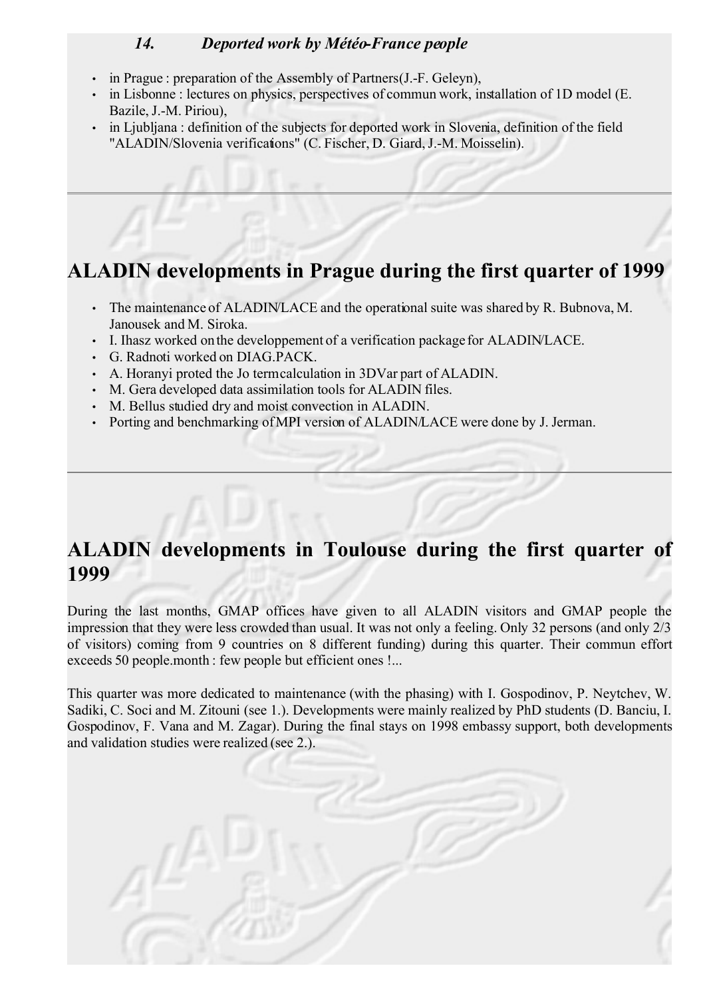## *14. Deported work by Météo-France people*

- in Prague : preparation of the Assembly of Partners (J.-F. Geleyn),
- in Lisbonne : lectures on physics, perspectives of commun work, installation of 1D model (E. Bazile, J.-M. Piriou),
- in Ljubljana : definition of the subjects for deported work in Slovenia, definition of the field "ALADIN/Slovenia verifications" (C. Fischer, D. Giard, J.-M. Moisselin).

# **ALADIN developments in Prague during the first quarter of 1999**

- The maintenance of ALADIN/LACE and the operational suite was shared by R. Bubnova, M. Janousek and M. Siroka.
- I. Ihasz worked on the developpement of a verification package for ALADIN/LACE.
- G. Radnoti worked on DIAG.PACK.
- A. Horanyi proted the Jo term calculation in 3DVar part of ALADIN.
- M. Gera developed data assimilation tools for ALADIN files.
- M. Bellus studied dry and moist convection in ALADIN.
- Porting and benchmarking of MPI version of ALADIN/LACE were done by J. Jerman.

## **ALADIN developments in Toulouse during the first quarter of 1999**

During the last months, GMAP offices have given to all ALADIN visitors and GMAP people the impression that they were less crowded than usual. It was not only a feeling. Only 32 persons (and only 2/3 of visitors) coming from 9 countries on 8 different funding) during this quarter. Their commun effort exceeds 50 people.month : few people but efficient ones !...

This quarter was more dedicated to maintenance (with the phasing) with I. Gospodinov, P. Neytchev, W. Sadiki, C. Soci and M. Zitouni (see 1.). Developments were mainly realized by PhD students (D. Banciu, I. Gospodinov, F. Vana and M. Zagar). During the final stays on 1998 embassy support, both developments and validation studies were realized (see 2.).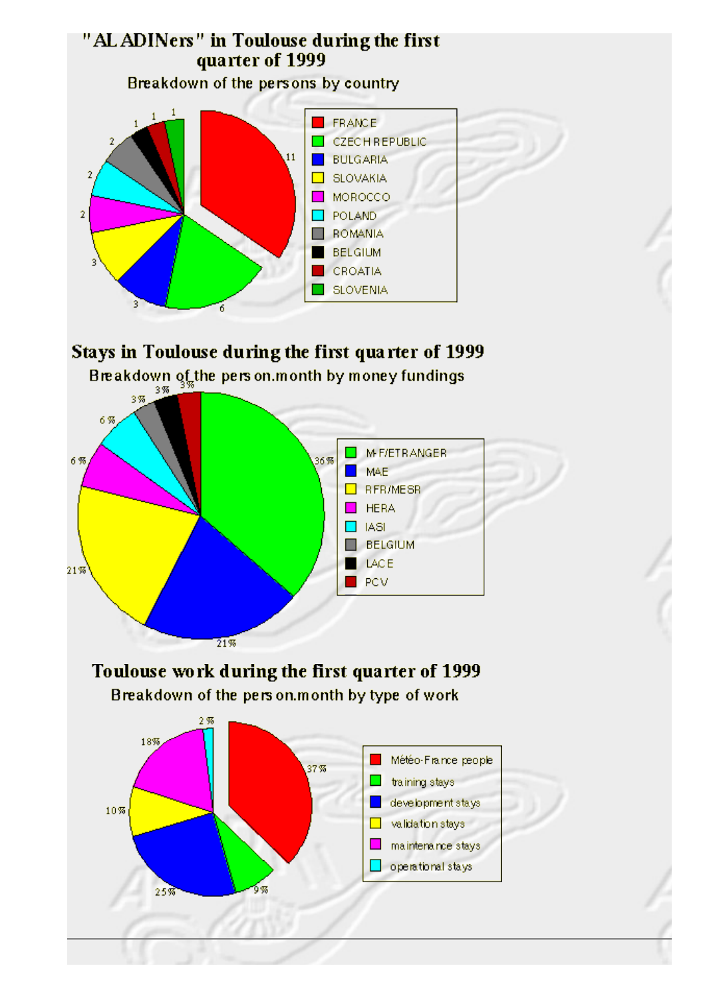